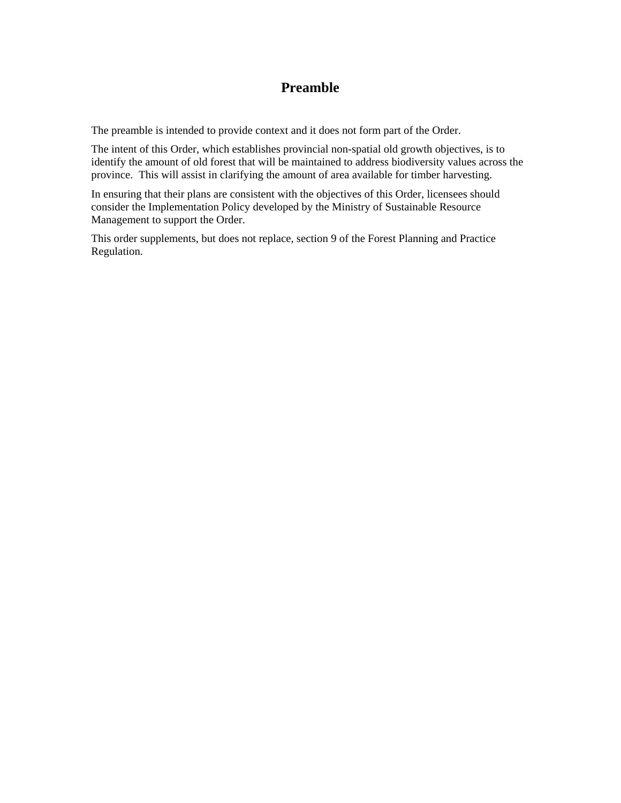## **Preamble**

The preamble is intended to provide context and it does not form part of the Order.

The intent of this Order, which establishes provincial non-spatial old growth objectives, is to identify the amount of old forest that will be maintained to address biodiversity values across the province. This will assist in clarifying the amount of area available for timber harvesting.

In ensuring that their plans are consistent with the objectives of this Order, licensees should consider the Implementation Policy developed by the Ministry of Sustainable Resource Management to support the Order.

This order supplements, but does not replace, section 9 of the Forest Planning and Practice Regulation.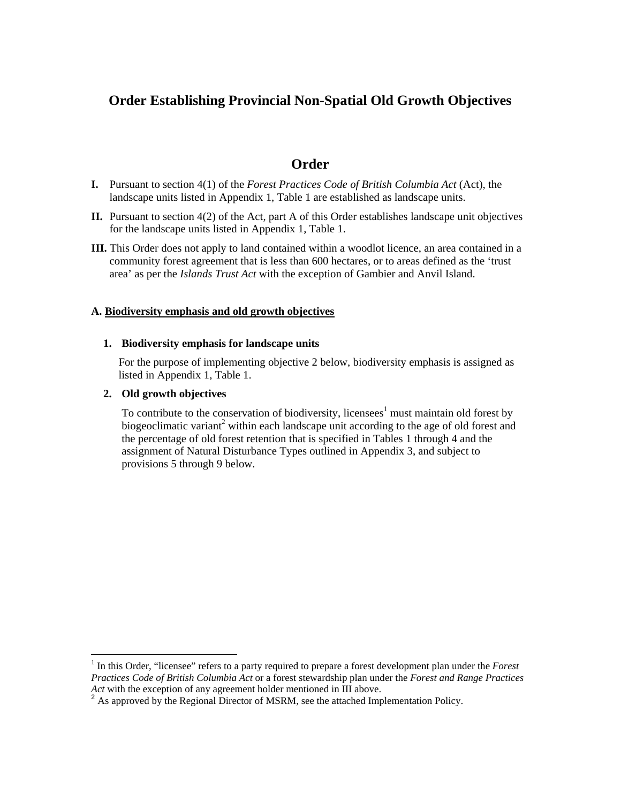## **Order Establishing Provincial Non-Spatial Old Growth Objectives**

### **Order**

- **I.** Pursuant to section 4(1) of the *Forest Practices Code of British Columbia Act* (Act), the landscape units listed in Appendix 1, Table 1 are established as landscape units.
- **II.** Pursuant to section 4(2) of the Act, part A of this Order establishes landscape unit objectives for the landscape units listed in Appendix 1, Table 1.
- **III.** This Order does not apply to land contained within a woodlot licence, an area contained in a community forest agreement that is less than 600 hectares, or to areas defined as the 'trust area' as per the *Islands Trust Act* with the exception of Gambier and Anvil Island.

#### **A. Biodiversity emphasis and old growth objectives**

#### **1. Biodiversity emphasis for landscape units**

For the purpose of implementing objective 2 below, biodiversity emphasis is assigned as listed in Appendix 1, Table 1.

#### **2. Old growth objectives**

 $\overline{a}$ 

To contribute to the conservation of biodiversity, licensees<sup>1</sup> must maintain old forest by biogeoclimatic variant<sup>2</sup> within each landscape unit according to the age of old forest and the percentage of old forest retention that is specified in Tables 1 through 4 and the assignment of Natural Disturbance Types outlined in Appendix 3, and subject to provisions 5 through 9 below.

<sup>&</sup>lt;sup>1</sup> In this Order, "licensee" refers to a party required to prepare a forest development plan under the *Forest Practices Code of British Columbia Act* or a forest stewardship plan under the *Forest and Range Practices Act* with the exception of any agreement holder mentioned in III above.

 $2^2$  As approved by the Regional Director of MSRM, see the attached Implementation Policy.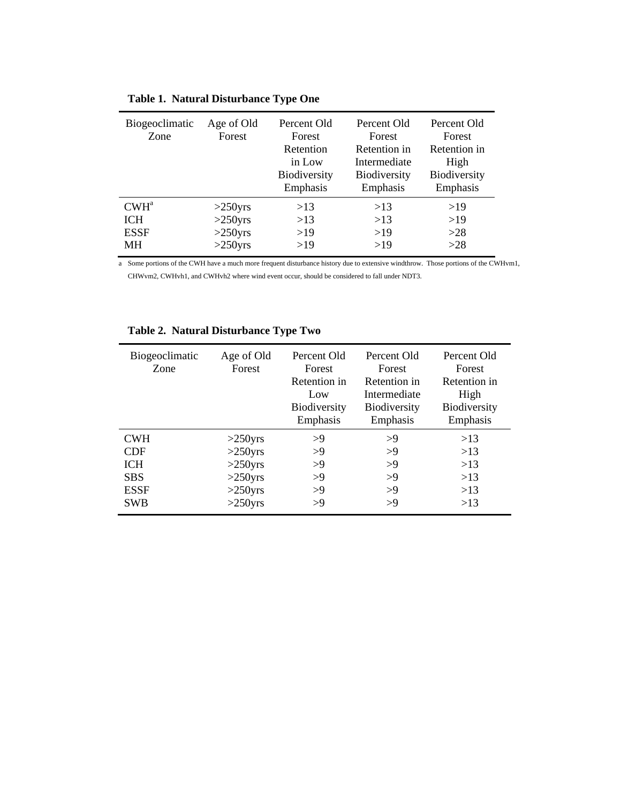| Biogeoclimatic<br>Zone | Age of Old<br>Forest | Percent Old<br>Forest<br>Retention<br>in Low<br>Biodiversity<br>Emphasis | Percent Old<br>Forest<br>Retention in<br>Intermediate<br><b>Biodiversity</b><br>Emphasis | Percent Old<br>Forest<br>Retention in<br>High<br>Biodiversity<br>Emphasis |
|------------------------|----------------------|--------------------------------------------------------------------------|------------------------------------------------------------------------------------------|---------------------------------------------------------------------------|
| $CWH^a$                | $>250$ yrs           | >13                                                                      | >13                                                                                      | >19                                                                       |
| <b>ICH</b>             | $>250$ yrs           | >13                                                                      | >13                                                                                      | >19                                                                       |
| <b>ESSF</b>            | $>250$ yrs           | >19                                                                      | >19                                                                                      | >28                                                                       |
| MН                     | $>250$ yrs           | >19                                                                      | >19                                                                                      | >28                                                                       |

|  |  | Table 1. Natural Disturbance Type One |  |
|--|--|---------------------------------------|--|
|--|--|---------------------------------------|--|

a Some portions of the CWH have a much more frequent disturbance history due to extensive windthrow. Those portions of the CWHvm1, CHWvm2, CWHvh1, and CWHvh2 where wind event occur, should be considered to fall under NDT3.

| Biogeoclimatic<br>Zone | Age of Old<br>Forest | Percent Old<br>Forest<br>Retention in<br>Low<br>Biodiversity<br>Emphasis | Percent Old<br>Forest<br>Retention in<br>Intermediate<br>Biodiversity<br>Emphasis | Percent Old<br>Forest<br>Retention in<br>High<br>Biodiversity<br>Emphasis |
|------------------------|----------------------|--------------------------------------------------------------------------|-----------------------------------------------------------------------------------|---------------------------------------------------------------------------|
| <b>CWH</b>             | $>250$ yrs           | >9                                                                       | >9                                                                                | >13                                                                       |
| <b>CDF</b>             | $>250$ yrs           | >9                                                                       | >9                                                                                | >13                                                                       |
| <b>ICH</b>             | $>250$ yrs           | >9                                                                       | >9                                                                                | >13                                                                       |
| <b>SBS</b>             | $>250$ yrs           | >9                                                                       | >9                                                                                | $>13$                                                                     |
| <b>ESSF</b>            | $>250$ yrs           | >9                                                                       | >9                                                                                | >13                                                                       |
| <b>SWB</b>             | $>250$ yrs           | >9                                                                       | >9                                                                                | >13                                                                       |

### **Table 2. Natural Disturbance Type Two**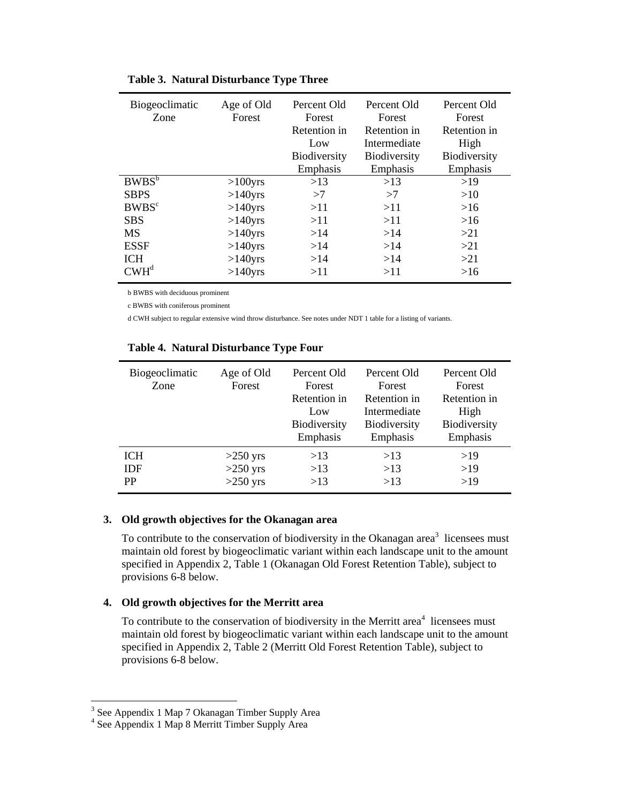| Biogeoclimatic<br>Zone | Age of Old<br>Forest | Percent Old<br>Forest<br>Retention in<br>Low<br>Biodiversity<br>Emphasis | Percent Old<br>Forest<br>Retention in<br>Intermediate<br>Biodiversity<br>Emphasis | Percent Old<br>Forest<br>Retention in<br>High<br>Biodiversity<br>Emphasis |
|------------------------|----------------------|--------------------------------------------------------------------------|-----------------------------------------------------------------------------------|---------------------------------------------------------------------------|
| $BWBS^b$               | $>100$ yrs           | >13                                                                      | >13                                                                               | >19                                                                       |
| <b>SBPS</b>            | $>140$ yrs           | >7                                                                       | >7                                                                                | >10                                                                       |
| BWBS <sup>c</sup>      | $>140$ yrs           | >11                                                                      | >11                                                                               | >16                                                                       |
| <b>SBS</b>             | $>140$ yrs           | >11                                                                      | >11                                                                               | >16                                                                       |
| <b>MS</b>              | $>140$ yrs           | >14                                                                      | >14                                                                               | >21                                                                       |
| <b>ESSF</b>            | $>140$ yrs           | >14                                                                      | >14                                                                               | >21                                                                       |
| <b>ICH</b>             | $>140$ yrs           | >14                                                                      | >14                                                                               | >21                                                                       |
| $CWH^d$                | $>140$ yrs           | >11                                                                      | >11                                                                               | >16                                                                       |

### **Table 3. Natural Disturbance Type Three**

b BWBS with deciduous prominent

c BWBS with coniferous prominent

d CWH subject to regular extensive wind throw disturbance. See notes under NDT 1 table for a listing of variants.

| Biogeoclimatic<br>Zone | Age of Old<br>Forest | Percent Old<br>Forest<br>Retention in<br>Low<br>Biodiversity<br>Emphasis | Percent Old<br>Forest<br>Retention in<br>Intermediate<br>Biodiversity<br>Emphasis | Percent Old<br>Forest<br>Retention in<br>High<br>Biodiversity<br>Emphasis |
|------------------------|----------------------|--------------------------------------------------------------------------|-----------------------------------------------------------------------------------|---------------------------------------------------------------------------|
| <b>ICH</b>             | $>250$ yrs           | >13                                                                      | >13                                                                               | >19                                                                       |
| <b>IDF</b>             | $>250$ yrs           | >13                                                                      | >13                                                                               | >19                                                                       |
| <b>PP</b>              | $>250$ yrs           | >13                                                                      | >13                                                                               | >19                                                                       |

#### **Table 4. Natural Disturbance Type Four**

#### **3. Old growth objectives for the Okanagan area**

To contribute to the conservation of biodiversity in the Okanagan area<sup>3</sup> licensees must maintain old forest by biogeoclimatic variant within each landscape unit to the amount specified in Appendix 2, Table 1 (Okanagan Old Forest Retention Table), subject to provisions 6-8 below.

#### **4. Old growth objectives for the Merritt area**

To contribute to the conservation of biodiversity in the Merritt area<sup>4</sup> licensees must maintain old forest by biogeoclimatic variant within each landscape unit to the amount specified in Appendix 2, Table 2 (Merritt Old Forest Retention Table), subject to provisions 6-8 below.

<sup>&</sup>lt;sup>3</sup> See Appendix 1 Map 7 Okanagan Timber Supply Area

<sup>4</sup> See Appendix 1 Map 8 Merritt Timber Supply Area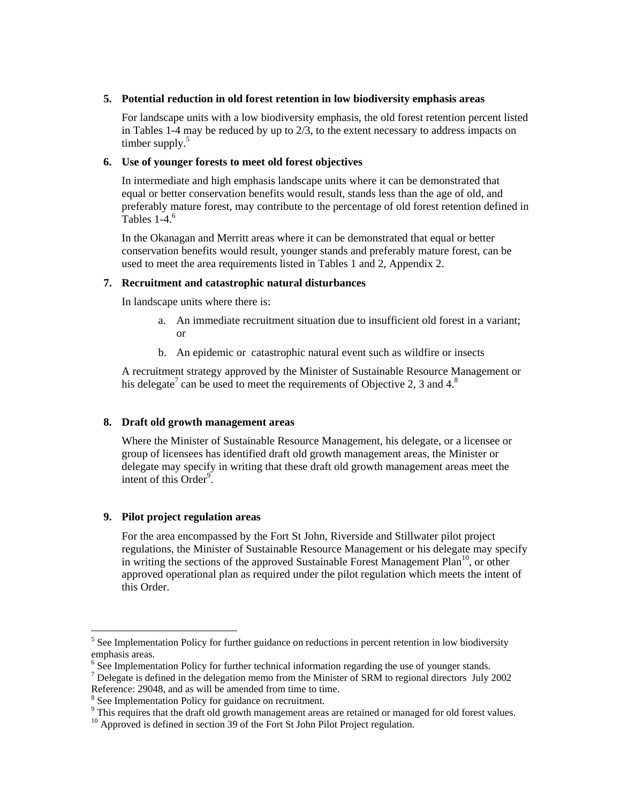#### **5. Potential reduction in old forest retention in low biodiversity emphasis areas**

For landscape units with a low biodiversity emphasis, the old forest retention percent listed in Tables 1-4 may be reduced by up to 2/3, to the extent necessary to address impacts on timber supply. $5$ 

#### **6. Use of younger forests to meet old forest objectives**

In intermediate and high emphasis landscape units where it can be demonstrated that equal or better conservation benefits would result, stands less than the age of old, and preferably mature forest, may contribute to the percentage of old forest retention defined in Tables  $1-4.6$ 

In the Okanagan and Merritt areas where it can be demonstrated that equal or better conservation benefits would result, younger stands and preferably mature forest, can be used to meet the area requirements listed in Tables 1 and 2, Appendix 2.

#### **7. Recruitment and catastrophic natural disturbances**

In landscape units where there is:

- a. An immediate recruitment situation due to insufficient old forest in a variant; or
- b. An epidemic or catastrophic natural event such as wildfire or insects

A recruitment strategy approved by the Minister of Sustainable Resource Management or his delegate<sup>7</sup> can be used to meet the requirements of Objective 2, 3 and  $4.8$ 

### **8. Draft old growth management areas**

Where the Minister of Sustainable Resource Management, his delegate, or a licensee or group of licensees has identified draft old growth management areas, the Minister or delegate may specify in writing that these draft old growth management areas meet the intent of this  $\overrightarrow{Order}^9$ .

#### **9. Pilot project regulation areas**

 $\overline{a}$ 

For the area encompassed by the Fort St John, Riverside and Stillwater pilot project regulations, the Minister of Sustainable Resource Management or his delegate may specify in writing the sections of the approved Sustainable Forest Management Plan<sup>10</sup>, or other approved operational plan as required under the pilot regulation which meets the intent of this Order.

<sup>&</sup>lt;sup>5</sup> See Implementation Policy for further guidance on reductions in percent retention in low biodiversity emphasis areas.

<sup>&</sup>lt;sup>6</sup> See Implementation Policy for further technical information regarding the use of younger stands.

 $<sup>7</sup>$  Delegate is defined in the delegation memo from the Minister of SRM to regional directors July 2002</sup> Reference: 29048, and as will be amended from time to time.

<sup>&</sup>lt;sup>8</sup> See Implementation Policy for guidance on recruitment.

 $9$  This requires that the draft old growth management areas are retained or managed for old forest values.

<sup>&</sup>lt;sup>10</sup> Approved is defined in section 39 of the Fort St John Pilot Project regulation.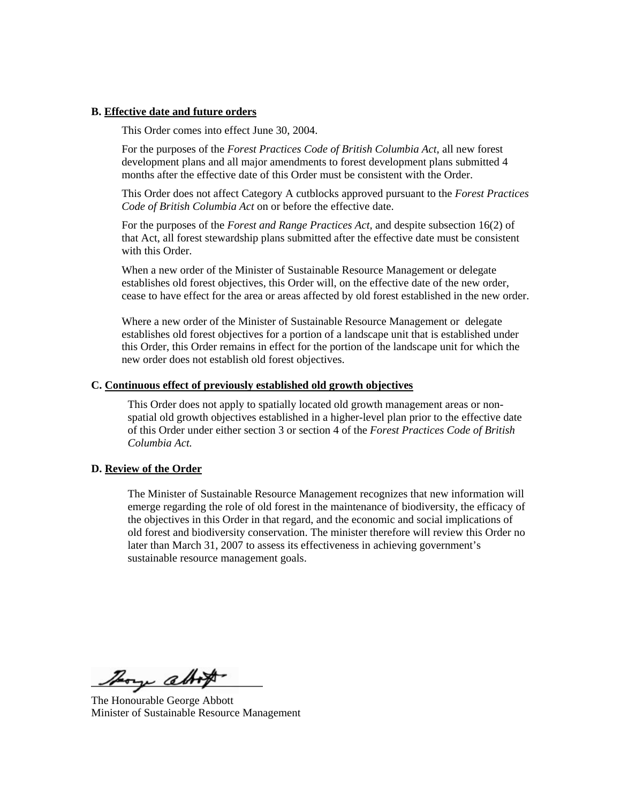#### **B. Effective date and future orders**

This Order comes into effect June 30, 2004.

For the purposes of the *Forest Practices Code of British Columbia Act*, all new forest development plans and all major amendments to forest development plans submitted 4 months after the effective date of this Order must be consistent with the Order.

This Order does not affect Category A cutblocks approved pursuant to the *Forest Practices Code of British Columbia Act* on or before the effective date.

For the purposes of the *Forest and Range Practices Act,* and despite subsection 16(2) of that Act, all forest stewardship plans submitted after the effective date must be consistent with this Order.

When a new order of the Minister of Sustainable Resource Management or delegate establishes old forest objectives, this Order will, on the effective date of the new order, cease to have effect for the area or areas affected by old forest established in the new order.

Where a new order of the Minister of Sustainable Resource Management or delegate establishes old forest objectives for a portion of a landscape unit that is established under this Order, this Order remains in effect for the portion of the landscape unit for which the new order does not establish old forest objectives.

#### **C. Continuous effect of previously established old growth objectives**

This Order does not apply to spatially located old growth management areas or nonspatial old growth objectives established in a higher-level plan prior to the effective date of this Order under either section 3 or section 4 of the *Forest Practices Code of British Columbia Act.* 

#### **D. Review of the Order**

The Minister of Sustainable Resource Management recognizes that new information will emerge regarding the role of old forest in the maintenance of biodiversity, the efficacy of the objectives in this Order in that regard, and the economic and social implications of old forest and biodiversity conservation. The minister therefore will review this Order no later than March 31, 2007 to assess its effectiveness in achieving government's sustainable resource management goals.

Thory altop

The Honourable George Abbott Minister of Sustainable Resource Management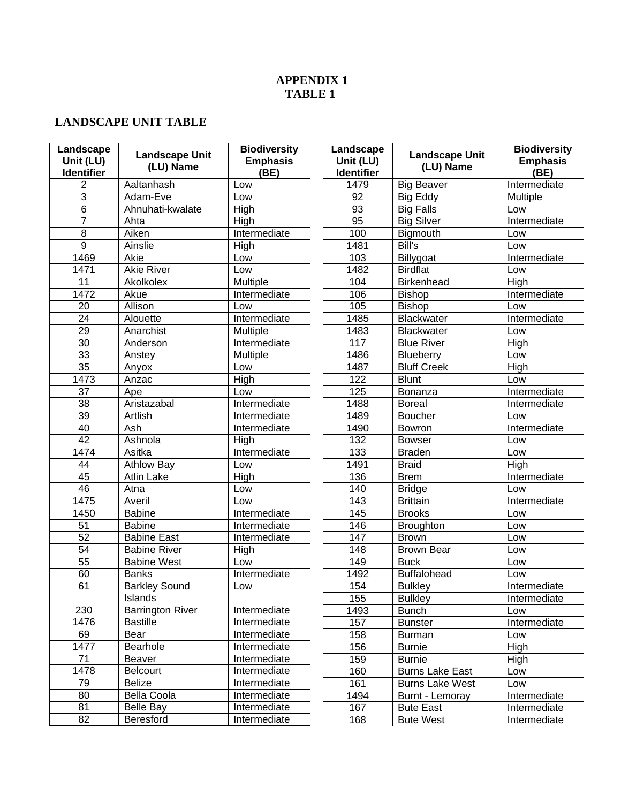## **APPENDIX 1 TABLE 1**

## **LANDSCAPE UNIT TABLE**

| Landscape<br>Unit (LU)<br><b>Identifier</b> | <b>Landscape Unit</b><br>(LU) Name | <b>Biodiversity</b><br><b>Emphasis</b><br>(BE) | Landscape<br>Unit (LU)<br><b>Identifier</b> | <b>Landscape Unit</b><br>(LU) Name | <b>Biodiversity</b><br><b>Emphasis</b><br>(BE) |
|---------------------------------------------|------------------------------------|------------------------------------------------|---------------------------------------------|------------------------------------|------------------------------------------------|
| 2                                           | Aaltanhash                         | Low                                            | 1479                                        | <b>Big Beaver</b>                  | Intermediate                                   |
| 3                                           | Adam-Eve                           | Low                                            | $\overline{92}$                             | <b>Big Eddy</b>                    | Multiple                                       |
| $\overline{6}$                              | Ahnuhati-kwalate                   | High                                           | 93                                          | <b>Big Falls</b>                   | Low                                            |
| $\overline{7}$                              | Ahta                               | High                                           | 95                                          | <b>Big Silver</b>                  | Intermediate                                   |
| $\overline{8}$                              | Aiken                              | Intermediate                                   | 100                                         | Bigmouth                           | Low                                            |
| $\overline{9}$                              | Ainslie                            | High                                           | 1481                                        | Bill's                             | Low                                            |
| 1469                                        | Akie                               | Low                                            | 103                                         | Billygoat                          | Intermediate                                   |
| 1471                                        | <b>Akie River</b>                  | Low                                            | 1482                                        | <b>Birdflat</b>                    | Low                                            |
| 11                                          | Akolkolex                          | Multiple                                       | 104                                         | <b>Birkenhead</b>                  | High                                           |
| 1472                                        | Akue                               | Intermediate                                   | 106                                         | <b>Bishop</b>                      | Intermediate                                   |
| 20                                          | Allison                            | Low                                            | 105                                         | <b>Bishop</b>                      | Low                                            |
| $\overline{24}$                             | Alouette                           | Intermediate                                   | 1485                                        | <b>Blackwater</b>                  | Intermediate                                   |
| $\overline{29}$                             | Anarchist                          | Multiple                                       | 1483                                        | <b>Blackwater</b>                  | Low                                            |
| $\overline{30}$                             | Anderson                           | Intermediate                                   | 117                                         | <b>Blue River</b>                  | High                                           |
| 33                                          | Anstey                             | Multiple                                       | 1486                                        | Blueberry                          | Low                                            |
| $\overline{35}$                             | Anyox                              | Low                                            | 1487                                        | <b>Bluff Creek</b>                 | High                                           |
| 1473                                        | Anzac                              | High                                           | 122                                         | <b>Blunt</b>                       | Low                                            |
| 37                                          | Ape                                | Low                                            | 125                                         | Bonanza                            | Intermediate                                   |
| 38                                          | Aristazabal                        | Intermediate                                   | 1488                                        | <b>Boreal</b>                      | Intermediate                                   |
| $\overline{39}$                             | Artlish                            | Intermediate                                   | 1489                                        | <b>Boucher</b>                     | Low                                            |
| 40                                          | Ash                                | Intermediate                                   | 1490                                        | Bowron                             | Intermediate                                   |
| $\overline{42}$                             | Ashnola                            | High                                           | 132                                         | <b>Bowser</b>                      | Low                                            |
| 1474                                        | Asitka                             | Intermediate                                   | 133                                         | <b>Braden</b>                      | Low                                            |
| 44                                          | <b>Athlow Bay</b>                  | Low                                            | 1491                                        | <b>Braid</b>                       | High                                           |
| 45                                          | <b>Atlin Lake</b>                  | High                                           | 136                                         | <b>Brem</b>                        | Intermediate                                   |
| 46                                          | Atna                               | Low                                            | 140                                         | <b>Bridge</b>                      | Low                                            |
| 1475                                        | Averil                             | Low                                            | 143                                         | <b>Brittain</b>                    | Intermediate                                   |
| 1450                                        | <b>Babine</b>                      | Intermediate                                   | 145                                         | <b>Brooks</b>                      | Low                                            |
| 51                                          | <b>Babine</b>                      | Intermediate                                   | 146                                         | <b>Broughton</b>                   | Low                                            |
| $\overline{52}$                             | <b>Babine East</b>                 | Intermediate                                   | 147                                         | <b>Brown</b>                       | Low                                            |
| $\overline{54}$                             | <b>Babine River</b>                | High                                           | 148                                         | <b>Brown Bear</b>                  | Low                                            |
| $\overline{55}$                             | <b>Babine West</b>                 | Low                                            | 149                                         | <b>Buck</b>                        | Low                                            |
| 60                                          | <b>Banks</b>                       | Intermediate                                   | 1492                                        | <b>Buffalohead</b>                 | Low                                            |
| 61                                          | <b>Barkley Sound</b>               | Low                                            | 154                                         | <b>Bulkley</b>                     | Intermediate                                   |
|                                             | Islands                            |                                                | 155                                         | <b>Bulkley</b>                     | Intermediate                                   |
| 230                                         | <b>Barrington River</b>            | Intermediate                                   | 1493                                        | <b>Bunch</b>                       | Low                                            |
| 1476                                        | <b>Bastille</b>                    | Intermediate                                   | 157                                         | <b>Bunster</b>                     | Intermediate                                   |
| 69                                          | Bear                               | Intermediate                                   | 158                                         | <b>Burman</b>                      | Low                                            |
| 1477                                        | Bearhole                           | Intermediate                                   | 156                                         | <b>Burnie</b>                      | High                                           |
| 71                                          | Beaver                             | Intermediate                                   | 159                                         | <b>Burnie</b>                      | High                                           |
| 1478                                        | Belcourt                           | Intermediate                                   | 160                                         | <b>Burns Lake East</b>             | Low                                            |
| 79                                          | Belize                             | Intermediate                                   | 161                                         | <b>Burns Lake West</b>             | Low                                            |
| 80                                          | Bella Coola                        | Intermediate                                   | 1494                                        | Burnt - Lemoray                    | Intermediate                                   |
| 81                                          | <b>Belle Bay</b>                   | Intermediate                                   | 167                                         | <b>Bute East</b>                   | Intermediate                                   |
| 82                                          | Beresford                          | Intermediate                                   | 168                                         | <b>Bute West</b>                   | Intermediate                                   |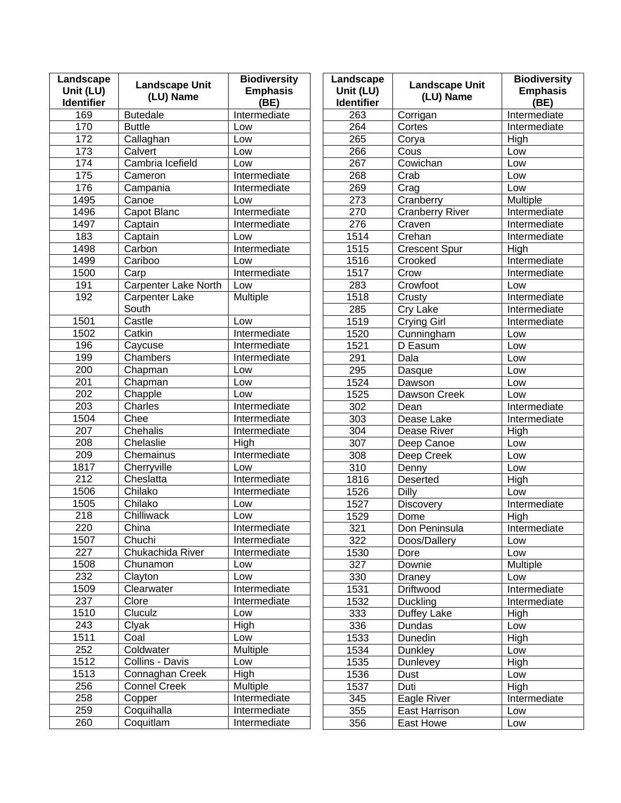| Landscape<br>Unit (LU)<br><b>Identifier</b> | <b>Landscape Unit</b><br>(LU) Name | <b>Biodiversity</b><br><b>Emphasis</b><br>(BE) | Landscape<br>Unit (LU)<br><b>Identifier</b> | <b>Landscape Unit</b><br>(LU) Name | <b>Biodiversity</b><br><b>Emphasis</b><br>(BE) |
|---------------------------------------------|------------------------------------|------------------------------------------------|---------------------------------------------|------------------------------------|------------------------------------------------|
| 169                                         | <b>Butedale</b>                    | Intermediate                                   | 263                                         | Corrigan                           | Intermediate                                   |
| 170                                         | <b>Buttle</b>                      | Low                                            | 264                                         | Cortes                             | Intermediate                                   |
| 172                                         | Callaghan                          | Low                                            | 265                                         | Corya                              | High                                           |
| $\overline{173}$                            | Calvert                            | Low                                            | 266                                         | Cous                               | Low                                            |
| 174                                         | Cambria Icefield                   | Low                                            | 267                                         | Cowichan                           | Low                                            |
| 175                                         | Cameron                            | Intermediate                                   | 268                                         | Crab                               | Low                                            |
| 176                                         | Campania                           | Intermediate                                   | 269                                         | $\overline{C}$ rag                 | Low                                            |
| 1495                                        | Canoe                              | Low                                            | 273                                         | Cranberry                          | Multiple                                       |
| 1496                                        | Capot Blanc                        | Intermediate                                   | 270                                         | <b>Cranberry River</b>             | Intermediate                                   |
| 1497                                        | Captain                            | Intermediate                                   | 276                                         | Craven                             | Intermediate                                   |
| 183                                         | Captain                            | Low                                            | 1514                                        | Crehan                             | Intermediate                                   |
| 1498                                        | Carbon                             | Intermediate                                   | 1515                                        | <b>Crescent Spur</b>               | High                                           |
| 1499                                        | Cariboo                            | Low                                            | 1516                                        | Crooked                            | Intermediate                                   |
| 1500                                        | Carp                               | Intermediate                                   | 1517                                        | Crow                               | Intermediate                                   |
| 191                                         | Carpenter Lake North               | Low                                            | 283                                         | Crowfoot                           | Low                                            |
| 192                                         | <b>Carpenter Lake</b>              | Multiple                                       | 1518                                        | Crusty                             | Intermediate                                   |
|                                             | South                              |                                                | 285                                         | Cry Lake                           | Intermediate                                   |
| 1501                                        | Castle                             | Low                                            | 1519                                        | Crying Girl                        | Intermediate                                   |
| 1502                                        | Catkin                             | Intermediate                                   | 1520                                        | Cunningham                         | Low                                            |
| 196                                         | Caycuse                            | Intermediate                                   | 1521                                        | D Easum                            | Low                                            |
| 199                                         | Chambers                           | Intermediate                                   | 291                                         | Dala                               | Low                                            |
| 200                                         | Chapman                            | Low                                            | 295                                         | Dasque                             | Low                                            |
| $\overline{201}$                            | Chapman                            | Low                                            | 1524                                        | Dawson                             | Low                                            |
| $\overline{202}$                            | Chapple                            | Low                                            | 1525                                        | Dawson Creek                       | Low                                            |
| $\overline{203}$                            | Charles                            | Intermediate                                   | 302                                         | Dean                               | Intermediate                                   |
| 1504                                        | Chee                               | Intermediate                                   | 303                                         | Dease Lake                         | Intermediate                                   |
| $\overline{207}$                            | Chehalis                           | Intermediate                                   | 304                                         | Dease River                        | High                                           |
| 208                                         | Chelaslie                          | High                                           | 307                                         | Deep Canoe                         | Low                                            |
| 209                                         | Chemainus                          | Intermediate                                   | 308                                         | Deep Creek                         | Low                                            |
| 1817                                        | Cherryville                        | Low                                            | $\overline{310}$                            | Denny                              | Low                                            |
| 212                                         | Cheslatta                          | Intermediate                                   | 1816                                        | Deserted                           | High                                           |
| 1506                                        | Chilako                            | Intermediate                                   | 1526                                        | Dilly                              | Low                                            |
| 1505                                        | Chilako                            | Low                                            | 1527                                        | <b>Discovery</b>                   | Intermediate                                   |
| 218                                         | Chilliwack                         | Low                                            | 1529                                        | Dome                               | High                                           |
| 220                                         | China                              | Intermediate                                   | 321                                         | Don Peninsula                      | Intermediate                                   |
| 1507                                        | Chuchi                             | Intermediate                                   | 322                                         | Doos/Dallery                       | Low                                            |
| 227                                         | Chukachida River                   | Intermediate                                   | 1530                                        | Dore                               | Low                                            |
| 1508                                        | Chunamon                           | Low                                            | 327                                         | Downie                             | Multiple                                       |
| 232                                         | Clayton                            | Low                                            | 330                                         | Draney                             | Low                                            |
| 1509                                        | Clearwater                         | Intermediate                                   | 1531                                        | Driftwood                          | Intermediate                                   |
| 237                                         | Clore                              | Intermediate                                   | 1532                                        | <b>Duckling</b>                    | Intermediate                                   |
| 1510                                        | Cluculz                            | Low                                            | 333                                         | Duffey Lake                        | High                                           |
| 243                                         | Clyak                              | High                                           | 336                                         | Dundas                             | Low                                            |
| 1511                                        | Coal                               | Low                                            | 1533                                        | Dunedin                            | High                                           |
| 252                                         | Coldwater                          | Multiple                                       | 1534                                        | <b>Dunkley</b>                     | Low                                            |
| 1512                                        | Collins - Davis                    | Low                                            | 1535                                        | Dunlevey                           | High                                           |
| 1513                                        | Connaghan Creek                    | High                                           | 1536                                        | Dust                               | Low                                            |
| 256                                         | <b>Connel Creek</b>                | Multiple                                       | 1537                                        | Duti                               | High                                           |
| 258                                         | Copper                             | Intermediate                                   | 345                                         | Eagle River                        | Intermediate                                   |
| 259                                         | Coquihalla                         | Intermediate                                   | 355                                         | East Harrison                      | Low                                            |
| 260                                         | Coquitlam                          | Intermediate                                   | 356                                         | East Howe                          | Low                                            |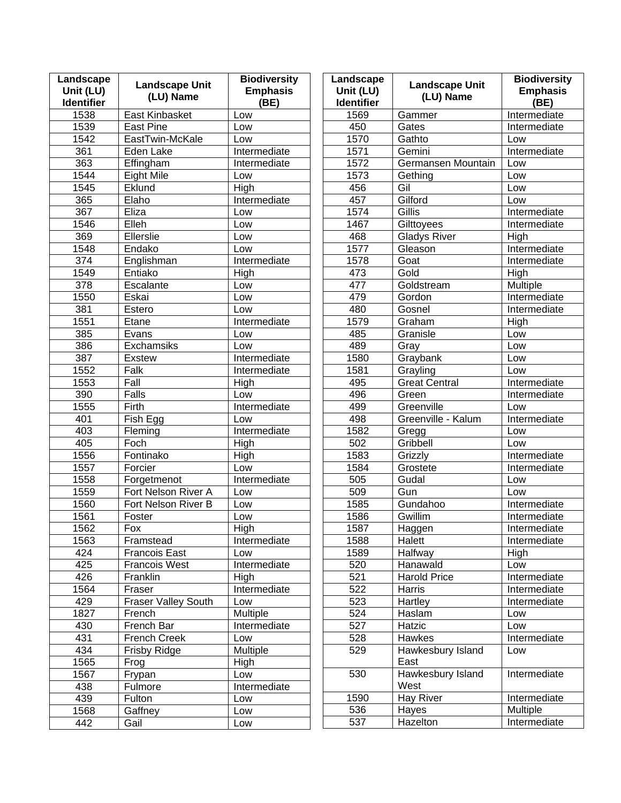| Landscape<br>Unit (LU)<br><b>Identifier</b> | <b>Landscape Unit</b><br>(LU) Name | <b>Biodiversity</b><br><b>Emphasis</b><br>(BE) | Landscape<br>Unit (LU)<br><b>Identifier</b> | <b>Landscape Unit</b><br>(LU) Name | <b>Biodiversity</b><br><b>Emphasis</b><br>(BE) |
|---------------------------------------------|------------------------------------|------------------------------------------------|---------------------------------------------|------------------------------------|------------------------------------------------|
| 1538                                        | East Kinbasket                     | Low                                            | 1569                                        | Gammer                             | Intermediate                                   |
| 1539                                        | <b>East Pine</b>                   | Low                                            | 450                                         | Gates                              | Intermediate                                   |
| 1542                                        | EastTwin-McKale                    | Low                                            | 1570                                        | Gathto                             | Low                                            |
| 361                                         | Eden Lake                          | Intermediate                                   | 1571                                        | Gemini                             | Intermediate                                   |
| 363                                         | Effingham                          | Intermediate                                   | 1572                                        | Germansen Mountain                 | Low                                            |
| 1544                                        | <b>Eight Mile</b>                  | Low                                            | 1573                                        | Gething                            | Low                                            |
| 1545                                        | Eklund                             | High                                           | 456                                         | Gil                                | Low                                            |
| 365                                         | Elaho                              | Intermediate                                   | 457                                         | Gilford                            | Low                                            |
| 367                                         | Eliza                              | Low                                            | 1574                                        | Gillis                             | Intermediate                                   |
| 1546                                        | Elleh                              | Low                                            | 1467                                        | Gilttoyees                         | Intermediate                                   |
| 369                                         | Ellerslie                          | Low                                            | 468                                         | <b>Gladys River</b>                | High                                           |
| 1548                                        | Endako                             | Low                                            | 1577                                        | Gleason                            | Intermediate                                   |
| 374                                         | Englishman                         | Intermediate                                   | 1578                                        | Goat                               | Intermediate                                   |
| 1549                                        | Entiako                            | High                                           | 473                                         | Gold                               | High                                           |
| 378                                         | Escalante                          | Low                                            | 477                                         | Goldstream                         | Multiple                                       |
| 1550                                        | Eskai                              | Low                                            | 479                                         | Gordon                             | Intermediate                                   |
| 381                                         | Estero                             | Low                                            | 480                                         | Gosnel                             | Intermediate                                   |
| 1551                                        | Etane                              | Intermediate                                   | 1579                                        | Graham                             | High                                           |
| 385                                         | Evans                              | Low                                            | 485                                         | Granisle                           | Low                                            |
| 386                                         | Exchamsiks                         | Low                                            | 489                                         | Gray                               | Low                                            |
| 387                                         | <b>Exstew</b>                      | Intermediate                                   | 1580                                        | Graybank                           | Low                                            |
| 1552                                        | Falk                               | Intermediate                                   | 1581                                        | Grayling                           | Low                                            |
| 1553                                        | Fall                               | High                                           | 495                                         | <b>Great Central</b>               | Intermediate                                   |
| 390                                         | Falls                              | Low                                            | 496                                         | Green                              | Intermediate                                   |
| 1555                                        | Firth                              | Intermediate                                   | 499                                         | Greenville                         | Low                                            |
| 401                                         | Fish Egg                           | Low                                            | 498                                         | Greenville - Kalum                 | Intermediate                                   |
| 403                                         | Fleming                            | Intermediate                                   | 1582                                        | Gregg                              | Low                                            |
| 405                                         | Foch                               | High                                           | 502                                         | Gribbell                           | Low                                            |
| 1556                                        | Fontinako                          | High                                           | 1583                                        | Grizzly                            | Intermediate                                   |
| 1557                                        | Forcier                            | Low                                            | 1584                                        | Grostete                           | Intermediate                                   |
| 1558                                        | Forgetmenot                        | Intermediate                                   | 505                                         | Gudal                              | Low                                            |
| 1559                                        | Fort Nelson River A                | Low                                            | 509                                         | Gun                                | Low                                            |
| 1560                                        | Fort Nelson River B                | Low                                            | 1585                                        | Gundahoo                           | Intermediate                                   |
| 1561                                        | Foster                             | Low                                            | 1586                                        | Gwillim                            | Intermediate                                   |
| 1562                                        | Fox                                | High                                           | 1587                                        | Haggen                             | Intermediate                                   |
| 1563                                        | Framstead                          | Intermediate                                   | 1588                                        | Halett                             | Intermediate                                   |
| 424                                         | <b>Francois East</b>               | Low                                            | 1589                                        | Halfway                            | High                                           |
| 425                                         | <b>Francois West</b>               | Intermediate                                   | 520                                         | Hanawald                           | Low                                            |
| 426                                         | Franklin                           | High                                           | 521                                         | <b>Harold Price</b>                | Intermediate                                   |
| 1564                                        | Fraser                             | Intermediate                                   | $\overline{522}$                            | Harris                             | Intermediate                                   |
| 429                                         | <b>Fraser Valley South</b>         | Low                                            | 523                                         | Hartley                            | Intermediate                                   |
| 1827                                        | French                             | <b>Multiple</b>                                | 524                                         | Haslam                             | Low                                            |
| 430                                         | French Bar                         | Intermediate                                   | 527                                         | Hatzic                             | Low                                            |
| 431                                         | French Creek                       | Low                                            | 528                                         | Hawkes                             | Intermediate                                   |
| 434                                         | Frisby Ridge                       | Multiple                                       | 529                                         | Hawkesbury Island                  | Low                                            |
| 1565                                        | Frog                               | High                                           |                                             | East                               |                                                |
| 1567                                        | Frypan                             | Low                                            | 530                                         | Hawkesbury Island                  | Intermediate                                   |
| 438                                         | Fulmore                            | Intermediate                                   |                                             | West                               |                                                |
| 439                                         | Fulton                             | Low                                            | 1590                                        | Hay River                          | Intermediate                                   |
| 1568                                        | Gaffney                            | Low                                            | 536                                         | Hayes                              | Multiple                                       |
| 442                                         | Gail                               | Low                                            | 537                                         | <b>Hazelton</b>                    | Intermediate                                   |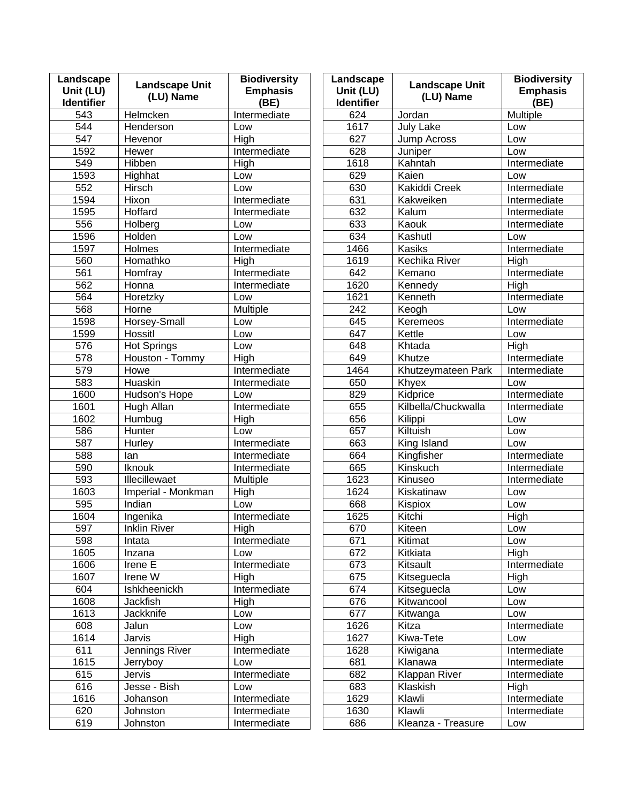| Landscape<br>Unit (LU)<br><b>Identifier</b> | <b>Landscape Unit</b><br>(LU) Name | <b>Biodiversity</b><br><b>Emphasis</b><br>(BE) | Landscape<br>Unit (LU)<br><b>Identifier</b> | <b>Landscape Unit</b><br>(LU) Name | <b>Biodiversity</b><br><b>Emphasis</b><br>(BE) |
|---------------------------------------------|------------------------------------|------------------------------------------------|---------------------------------------------|------------------------------------|------------------------------------------------|
| 543                                         | Helmcken                           | Intermediate                                   | 624                                         | Jordan                             | Multiple                                       |
| 544                                         | Henderson                          | Low                                            | 1617                                        | <b>July Lake</b>                   | Low                                            |
| 547                                         | Hevenor                            | High                                           | 627                                         | Jump Across                        | Low                                            |
| 1592                                        | Hewer                              | Intermediate                                   | 628                                         | Juniper                            | Low                                            |
| 549                                         | Hibben                             | High                                           | 1618                                        | Kahntah                            | Intermediate                                   |
| 1593                                        | Highhat                            | Low                                            | 629                                         | Kaien                              | Low                                            |
| 552                                         | Hirsch                             | Low                                            | 630                                         | Kakiddi Creek                      | Intermediate                                   |
| 1594                                        | Hixon                              | Intermediate                                   | 631                                         | Kakweiken                          | Intermediate                                   |
| 1595                                        | Hoffard                            | Intermediate                                   | 632                                         | Kalum                              | Intermediate                                   |
| 556                                         | Holberg                            | Low                                            | 633                                         | Kaouk                              | Intermediate                                   |
| 1596                                        | Holden                             | Low                                            | 634                                         | Kashutl                            | Low                                            |
| 1597                                        | <b>Holmes</b>                      | Intermediate                                   | 1466                                        | Kasiks                             | Intermediate                                   |
| 560                                         | Homathko                           | High                                           | 1619                                        | Kechika River                      | High                                           |
| 561                                         | Homfray                            | Intermediate                                   | 642                                         | Kemano                             | Intermediate                                   |
| 562                                         | Honna                              | Intermediate                                   | 1620                                        | Kennedy                            | <b>High</b>                                    |
| 564                                         | Horetzky                           | Low                                            | 1621                                        | Kenneth                            | Intermediate                                   |
| 568                                         | Horne                              | Multiple                                       | $\overline{242}$                            | Keogh                              | Low                                            |
| 1598                                        | Horsey-Small                       | Low                                            | 645                                         | Keremeos                           | Intermediate                                   |
| 1599                                        | Hossitl                            | Low                                            | 647                                         | Kettle                             | Low                                            |
| 576                                         | <b>Hot Springs</b>                 | Low                                            | 648                                         | Khtada                             | High                                           |
| 578                                         | Houston - Tommy                    | High                                           | 649                                         | Khutze                             | Intermediate                                   |
| 579                                         | Howe                               | Intermediate                                   | 1464                                        | Khutzeymateen Park                 | Intermediate                                   |
| 583                                         | Huaskin                            | Intermediate                                   | 650                                         | Khyex                              | Low                                            |
| 1600                                        | Hudson's Hope                      | Low                                            | 829                                         | Kidprice                           | Intermediate                                   |
| 1601                                        | Hugh Allan                         | Intermediate                                   | 655                                         | Kilbella/Chuckwalla                | Intermediate                                   |
| 1602                                        | Humbug                             | High                                           | 656                                         | Kilippi                            | Low                                            |
| 586                                         | Hunter                             | Low                                            | 657                                         | Kiltuish                           | Low                                            |
| 587                                         | Hurley                             | Intermediate                                   | 663                                         | King Island                        | Low                                            |
| 588                                         | lan                                | Intermediate                                   | 664                                         | Kingfisher                         | Intermediate                                   |
| 590                                         | <b>Iknouk</b>                      | Intermediate                                   | 665                                         | Kinskuch                           | Intermediate                                   |
| 593                                         | <b>Illecillewaet</b>               | Multiple                                       | 1623                                        | Kinuseo                            | Intermediate                                   |
| 1603                                        | Imperial - Monkman                 | High                                           | 1624                                        | Kiskatinaw                         | Low                                            |
| 595                                         | Indian                             | Low                                            | 668                                         | Kispiox                            | Low                                            |
| 1604                                        | Ingenika                           | Intermediate                                   | 1625                                        | Kitchi                             | High                                           |
| 597                                         | <b>Inklin River</b>                | <b>High</b>                                    | 670                                         | Kiteen                             | Low                                            |
| 598                                         | Intata                             | Intermediate                                   | 671                                         | Kitimat                            | Low                                            |
| 1605                                        | Inzana                             | Low                                            | 672                                         | Kitkiata                           | <b>High</b>                                    |
| 1606                                        | Irene E                            | Intermediate                                   | 673                                         | Kitsault                           | Intermediate                                   |
| 1607                                        | Irene W                            | High                                           | 675                                         | Kitseguecla                        | High                                           |
| 604                                         | Ishkheenickh                       | Intermediate                                   | 674                                         | Kitseguecla                        | Low                                            |
| 1608                                        | Jackfish                           | <b>High</b>                                    | 676                                         | Kitwancool                         | Low                                            |
| 1613                                        | Jackknife                          | Low                                            | 677                                         | Kitwanga                           | Low                                            |
| 608                                         | Jalun                              | Low                                            | 1626                                        | Kitza                              | Intermediate                                   |
| 1614                                        | Jarvis                             | High                                           | 1627                                        | Kiwa-Tete                          | Low                                            |
| 611                                         | Jennings River                     | Intermediate                                   | 1628                                        | Kiwigana                           | Intermediate                                   |
| 1615                                        | Jerryboy                           | Low                                            | 681                                         | Klanawa                            | Intermediate                                   |
| 615                                         | Jervis                             | Intermediate                                   | 682                                         | Klappan River                      | <b>Intermediate</b>                            |
| 616                                         | Jesse - Bish                       | Low                                            | 683                                         | Klaskish                           | High                                           |
| 1616                                        | Johanson                           | Intermediate                                   | 1629                                        | Klawli                             | Intermediate                                   |
| 620                                         | Johnston                           | Intermediate                                   | 1630                                        | Klawli                             | Intermediate                                   |
| 619                                         | Johnston                           | Intermediate                                   | 686                                         | Kleanza - Treasure                 | Low                                            |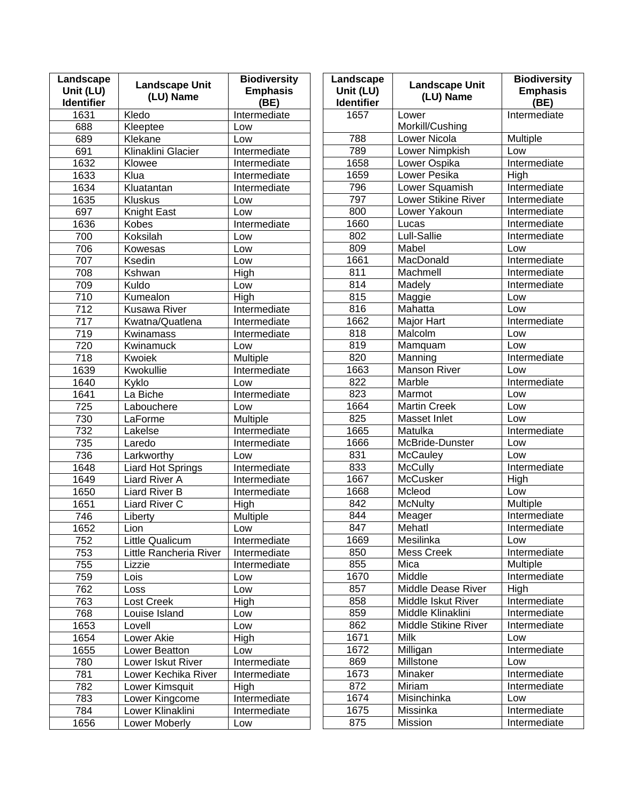| Landscape<br>Unit (LU)<br><b>Identifier</b> | <b>Landscape Unit</b><br>(LU) Name | <b>Biodiversity</b><br><b>Emphasis</b><br>(BE) | Landscape<br>Unit (LU)<br>Identifier | <b>Landscape Unit</b><br>(LU) Name | <b>Biodiversity</b><br><b>Emphasis</b><br>(BE) |
|---------------------------------------------|------------------------------------|------------------------------------------------|--------------------------------------|------------------------------------|------------------------------------------------|
| 1631                                        | Kledo                              | Intermediate                                   | 1657                                 | Lower                              | Intermediate                                   |
| 688                                         | Kleeptee                           | Low                                            |                                      | Morkill/Cushing                    |                                                |
| 689                                         | Klekane                            | Low                                            | 788                                  | Lower Nicola                       | Multiple                                       |
| 691                                         | Klinaklini Glacier                 | Intermediate                                   | 789                                  | Lower Nimpkish                     | Low                                            |
| 1632                                        | Klowee                             | Intermediate                                   | 1658                                 | Lower Ospika                       | Intermediate                                   |
| 1633                                        | Klua                               | Intermediate                                   | 1659                                 | Lower Pesika                       | High                                           |
| 1634                                        | Kluatantan                         | Intermediate                                   | 796                                  | Lower Squamish                     | Intermediate                                   |
| 1635                                        | <b>Kluskus</b>                     | Low                                            | 797                                  | Lower Stikine River                | Intermediate                                   |
| 697                                         | Knight East                        | Low                                            | 800                                  | Lower Yakoun                       | Intermediate                                   |
| 1636                                        | Kobes                              | Intermediate                                   | 1660                                 | Lucas                              | Intermediate                                   |
| 700                                         | Koksilah                           | Low                                            | 802                                  | Lull-Sallie                        | Intermediate                                   |
| 706                                         | Kowesas                            | Low                                            | 809                                  | Mabel                              | Low                                            |
| 707                                         | Ksedin                             | Low                                            | 1661                                 | MacDonald                          | Intermediate                                   |
| 708                                         | Kshwan                             | High                                           | 811                                  | Machmell                           | Intermediate                                   |
| 709                                         | Kuldo                              | Low                                            | 814                                  | Madely                             | Intermediate                                   |
| 710                                         | Kumealon                           | High                                           | 815                                  | Maggie                             | Low                                            |
| 712                                         | <b>Kusawa River</b>                | Intermediate                                   | 816                                  | Mahatta                            | Low                                            |
| $\overline{717}$                            | Kwatna/Quatlena                    | Intermediate                                   | 1662                                 | Major Hart                         | Intermediate                                   |
| 719                                         | Kwinamass                          | Intermediate                                   | 818                                  | Malcolm                            | Low                                            |
| 720                                         | Kwinamuck                          | Low                                            | 819                                  | Mamquam                            | Low                                            |
| 718                                         | Kwoiek                             | Multiple                                       | 820                                  | Manning                            | Intermediate                                   |
| 1639                                        | Kwokullie                          | Intermediate                                   | 1663                                 | <b>Manson River</b>                | Low                                            |
| 1640                                        | Kyklo                              | Low                                            | 822                                  | Marble                             | Intermediate                                   |
| 1641                                        | La Biche                           | Intermediate                                   | 823                                  | Marmot                             | Low                                            |
| 725                                         | Labouchere                         | Low                                            | 1664                                 | <b>Martin Creek</b>                | Low                                            |
| 730                                         | LaForme                            | Multiple                                       | 825                                  | Masset Inlet                       | Low                                            |
| 732                                         | Lakelse                            | Intermediate                                   | 1665                                 | Matulka                            | Intermediate                                   |
| 735                                         | Laredo                             | Intermediate                                   | 1666                                 | McBride-Dunster                    | Low                                            |
| 736                                         | Larkworthy                         | Low                                            | 831                                  | <b>McCauley</b>                    | Low                                            |
| 1648                                        | <b>Liard Hot Springs</b>           | Intermediate                                   | 833                                  | <b>McCully</b>                     | Intermediate                                   |
| 1649                                        | Liard River A                      | Intermediate                                   | 1667                                 | McCusker                           | High                                           |
| 1650                                        | Liard River B                      | Intermediate                                   | 1668                                 | Mcleod                             | Low                                            |
| 1651                                        | Liard River C                      | High                                           | 842                                  | <b>McNulty</b>                     | Multiple                                       |
| 746                                         | Liberty                            | Multiple                                       | 844                                  | Meager                             | Intermediate                                   |
| 1652                                        | Lion                               | Low                                            | 847                                  | Mehatl                             | Intermediate                                   |
| 752                                         | Little Qualicum                    | Intermediate                                   | 1669                                 | Mesilinka                          | Low                                            |
| 753                                         | Little Rancheria River             | Intermediate                                   | 850                                  | Mess Creek                         | Intermediate                                   |
| 755                                         | Lizzie                             | Intermediate                                   | 855                                  | Mica                               | <b>Multiple</b>                                |
| 759                                         | Lois                               | Low                                            | 1670                                 | Middle                             | Intermediate                                   |
| 762                                         | Loss                               | Low                                            | 857                                  | Middle Dease River                 | High                                           |
| 763                                         | Lost Creek                         | High                                           | 858                                  | Middle Iskut River                 | Intermediate                                   |
| 768                                         | Louise Island                      | Low                                            | 859                                  | Middle Klinaklini                  | Intermediate                                   |
| 1653                                        | Lovell                             | Low                                            | 862                                  | Middle Stikine River               | Intermediate                                   |
| 1654                                        | Lower Akie                         | High                                           | 1671                                 | Milk                               | Low                                            |
| 1655                                        | Lower Beatton                      | Low                                            | 1672                                 | Milligan                           | Intermediate                                   |
| 780                                         | Lower Iskut River                  | Intermediate                                   | 869                                  | Millstone                          | Low                                            |
| 781                                         | Lower Kechika River                | Intermediate                                   | 1673                                 | Minaker                            | Intermediate                                   |
| 782                                         | Lower Kimsquit                     | High                                           | 872                                  | Miriam                             | Intermediate                                   |
| 783                                         | Lower Kingcome                     | Intermediate                                   | 1674                                 | Misinchinka                        | Low                                            |
| 784                                         | Lower Klinaklini                   | Intermediate                                   | 1675                                 | Missinka                           | Intermediate                                   |
| 1656                                        | Lower Moberly                      | Low                                            | 875                                  | Mission                            | Intermediate                                   |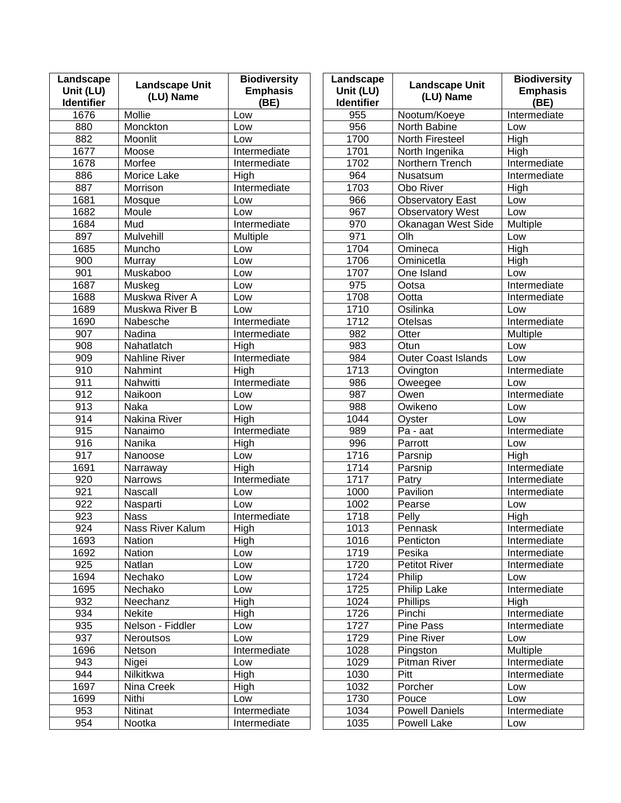| Landscape<br>Unit (LU)<br><b>Identifier</b> | <b>Landscape Unit</b><br>(LU) Name | <b>Biodiversity</b><br><b>Emphasis</b><br>(BE) | Landscape<br>Unit (LU)<br><b>Identifier</b> | <b>Landscape Unit</b><br>(LU) Name | <b>Biodiversity</b><br><b>Emphasis</b><br>(BE) |
|---------------------------------------------|------------------------------------|------------------------------------------------|---------------------------------------------|------------------------------------|------------------------------------------------|
| 1676                                        | Mollie                             | Low                                            | 955                                         | Nootum/Koeye                       | Intermediate                                   |
| 880                                         | Monckton                           | Low                                            | 956                                         | North Babine                       | Low                                            |
| 882                                         | Moonlit                            | Low                                            | 1700                                        | North Firesteel                    | High                                           |
| 1677                                        | Moose                              | Intermediate                                   | 1701                                        | North Ingenika                     | High                                           |
| 1678                                        | Morfee                             | Intermediate                                   | 1702                                        | Northern Trench                    | Intermediate                                   |
| 886                                         | Morice Lake                        | High                                           | 964                                         | Nusatsum                           | Intermediate                                   |
| 887                                         | Morrison                           | Intermediate                                   | 1703                                        | Obo River                          | High                                           |
| 1681                                        | Mosque                             | Low                                            | 966                                         | <b>Observatory East</b>            | Low                                            |
| 1682                                        | Moule                              | Low                                            | 967                                         | <b>Observatory West</b>            | Low                                            |
| 1684                                        | Mud                                | Intermediate                                   | 970                                         | Okanagan West Side                 | Multiple                                       |
| 897                                         | Mulvehill                          | Multiple                                       | 971                                         | Olh                                | Low                                            |
| 1685                                        | Muncho                             | Low                                            | 1704                                        | Omineca                            | High                                           |
| 900                                         | Murray                             | Low                                            | 1706                                        | Ominicetla                         | High                                           |
| 901                                         | Muskaboo                           | Low                                            | 1707                                        | One Island                         | Low                                            |
| 1687                                        | Muskeg                             | Low                                            | 975                                         | Ootsa                              | Intermediate                                   |
| 1688                                        | Muskwa River A                     | Low                                            | 1708                                        | Ootta                              | Intermediate                                   |
| 1689                                        | Muskwa River B                     | Low                                            | 1710                                        | Osilinka                           | Low                                            |
| 1690                                        | Nabesche                           | Intermediate                                   | 1712                                        | Otelsas                            | Intermediate                                   |
| 907                                         | Nadina                             | Intermediate                                   | 982                                         | Otter                              | Multiple                                       |
| 908                                         | Nahatlatch                         | High                                           | 983                                         | Otun                               | Low                                            |
| 909                                         | <b>Nahline River</b>               | Intermediate                                   | 984                                         | <b>Outer Coast Islands</b>         | Low                                            |
| 910                                         | Nahmint                            | High                                           | 1713                                        | Ovington                           | Intermediate                                   |
| 911                                         | Nahwitti                           | Intermediate                                   | 986                                         | Oweegee                            | Low                                            |
| 912                                         | Naikoon                            | Low                                            | 987                                         | Owen                               | Intermediate                                   |
| 913                                         | Naka                               | Low                                            | 988                                         | Owikeno                            | Low                                            |
| 914                                         | Nakina River                       | High                                           | 1044                                        | Oyster                             | Low                                            |
| 915                                         | Nanaimo                            | Intermediate                                   | 989                                         | Pa - aat                           | Intermediate                                   |
| 916                                         | Nanika                             | High                                           | 996                                         | Parrott                            | Low                                            |
| $\overline{917}$                            | Nanoose                            | Low                                            | 1716                                        | Parsnip                            | High                                           |
| 1691                                        | Narraway                           | High                                           | 1714                                        | Parsnip                            | Intermediate                                   |
| 920                                         | <b>Narrows</b>                     | Intermediate                                   | 1717                                        | Patry                              | Intermediate                                   |
| 921                                         | <b>Nascall</b>                     | Low                                            | 1000                                        | Pavilion                           | Intermediate                                   |
| 922                                         | Nasparti                           | Low                                            | 1002                                        | Pearse                             | Low                                            |
| 923                                         | <b>Nass</b>                        | Intermediate                                   | 1718                                        | Pelly                              | High                                           |
| 924                                         | Nass River Kalum                   | High                                           | 1013                                        | Pennask                            | Intermediate                                   |
| 1693                                        | Nation                             | High                                           | 1016                                        | Penticton                          | Intermediate                                   |
| 1692                                        | Nation                             | Low                                            | 1719                                        | Pesika                             | Intermediate                                   |
| 925                                         | Natlan                             | Low                                            | 1720                                        | <b>Petitot River</b>               | Intermediate                                   |
| 1694                                        | Nechako                            | Low                                            | 1724                                        | Philip                             | Low                                            |
| 1695                                        | Nechako                            | Low                                            | 1725                                        | Philip Lake                        | Intermediate                                   |
| 932                                         | Neechanz                           | High                                           | 1024                                        | <b>Phillips</b>                    | High                                           |
| 934                                         | Nekite                             | High                                           | 1726                                        | Pinchi                             | Intermediate                                   |
| 935                                         | Nelson - Fiddler                   | Low                                            | 1727                                        | Pine Pass                          | Intermediate                                   |
| 937                                         | <b>Neroutsos</b>                   | Low                                            | 1729                                        | Pine River                         | Low                                            |
| 1696                                        | Netson                             | Intermediate                                   | 1028                                        | Pingston                           | <b>Multiple</b>                                |
| 943                                         | Nigei                              | Low                                            | 1029                                        | Pitman River                       | Intermediate                                   |
| 944                                         | Nilkitkwa                          | High                                           | 1030                                        | Pitt                               | Intermediate                                   |
| 1697                                        | Nina Creek                         | High                                           | 1032                                        | Porcher                            | Low                                            |
| 1699                                        | Nithi                              | Low                                            | 1730                                        | Pouce                              | Low                                            |
| 953                                         | Nitinat                            | Intermediate                                   | 1034                                        | <b>Powell Daniels</b>              | Intermediate                                   |
| 954                                         | Nootka                             | Intermediate                                   | 1035                                        | Powell Lake                        | Low                                            |
|                                             |                                    |                                                |                                             |                                    |                                                |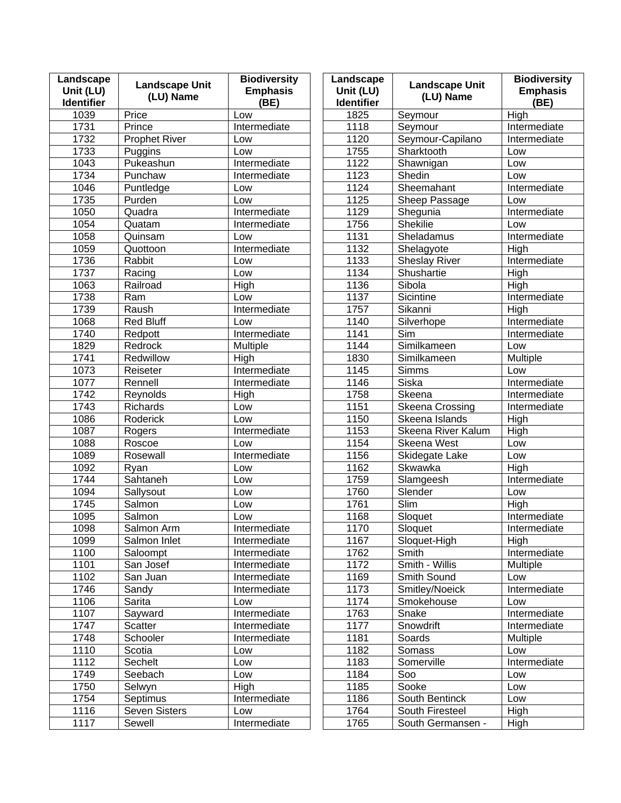| Landscape<br>Unit (LU)<br><b>Identifier</b> | <b>Landscape Unit</b><br>(LU) Name | <b>Biodiversity</b><br><b>Emphasis</b><br>(BE) | Landscape<br>Unit (LU)<br><b>Identifier</b> | <b>Landscape Unit</b><br>(LU) Name | <b>Biodiversity</b><br><b>Emphasis</b><br>(BE) |
|---------------------------------------------|------------------------------------|------------------------------------------------|---------------------------------------------|------------------------------------|------------------------------------------------|
| 1039                                        | Price                              | Low                                            | 1825                                        | Seymour                            | High                                           |
| 1731                                        | Prince                             | Intermediate                                   | 1118                                        | Seymour                            | Intermediate                                   |
| 1732                                        | <b>Prophet River</b>               | Low                                            | 1120                                        | Seymour-Capilano                   | Intermediate                                   |
| 1733                                        | Puggins                            | Low                                            | 1755                                        | Sharktooth                         | Low                                            |
| 1043                                        | Pukeashun                          | Intermediate                                   | 1122                                        | Shawnigan                          | Low                                            |
| 1734                                        | Punchaw                            | Intermediate                                   | 1123                                        | Shedin                             | Low                                            |
| 1046                                        | Puntledge                          | Low                                            | 1124                                        | Sheemahant                         | Intermediate                                   |
| 1735                                        | Purden                             | Low                                            | 1125                                        | Sheep Passage                      | Low                                            |
| 1050                                        | Quadra                             | Intermediate                                   | 1129                                        | Shegunia                           | Intermediate                                   |
| 1054                                        | Quatam                             | Intermediate                                   | 1756                                        | Shekilie                           | Low                                            |
| 1058                                        | Quinsam                            | Low                                            | 1131                                        | Sheladamus                         | Intermediate                                   |
| 1059                                        | Quottoon                           | Intermediate                                   | 1132                                        | Shelagyote                         | High                                           |
| 1736                                        | Rabbit                             | Low                                            | 1133                                        | <b>Sheslay River</b>               | Intermediate                                   |
| 1737                                        | Racing                             | Low                                            | 1134                                        | Shushartie                         | High                                           |
| 1063                                        | Railroad                           | High                                           | 1136                                        | Sibola                             | High                                           |
| 1738                                        | Ram                                | Low                                            | 1137                                        | Sicintine                          | Intermediate                                   |
| 1739                                        | Raush                              | Intermediate                                   | 1757                                        | Sikanni                            | High                                           |
| 1068                                        | <b>Red Bluff</b>                   | Low                                            | 1140                                        | Silverhope                         | Intermediate                                   |
| 1740                                        | Redpott                            | Intermediate                                   | 1141                                        | Sim                                | Intermediate                                   |
| 1829                                        | Redrock                            | Multiple                                       | 1144                                        | Similkameen                        | Low                                            |
| 1741                                        | Redwillow                          | High                                           | 1830                                        | Similkameen                        | Multiple                                       |
| 1073                                        | Reiseter                           | Intermediate                                   | 1145                                        | Simms                              | Low                                            |
| 1077                                        | Rennell                            | Intermediate                                   | 1146                                        | Siska                              | Intermediate                                   |
| 1742                                        | Reynolds                           | High                                           | 1758                                        | Skeena                             | Intermediate                                   |
| 1743                                        | Richards                           | Low                                            | 1151                                        | <b>Skeena Crossing</b>             | Intermediate                                   |
| 1086                                        | Roderick                           | Low                                            | 1150                                        | Skeena Islands                     | High                                           |
| 1087                                        | Rogers                             | Intermediate                                   | 1153                                        | Skeena River Kalum                 | High                                           |
| 1088                                        | Roscoe                             | Low                                            | 1154                                        | Skeena West                        | Low                                            |
| 1089                                        | Rosewall                           | Intermediate                                   | 1156                                        | Skidegate Lake                     | Low                                            |
| 1092                                        | Ryan                               | Low                                            | 1162                                        | Skwawka                            | High                                           |
| 1744                                        | Sahtaneh                           | Low                                            | 1759                                        | Slamgeesh                          | Intermediate                                   |
| 1094                                        | Sallysout                          | Low                                            | 1760                                        | Slender                            | Low                                            |
| 1745                                        | Salmon                             | Low                                            | 1761                                        | Slim                               | High                                           |
| 1095                                        | Salmon                             | Low                                            | 1168                                        | Sloquet                            | Intermediate                                   |
| 1098                                        | Salmon Arm                         | Intermediate                                   | 1170                                        | Sloquet                            | Intermediate                                   |
| 1099                                        | Salmon Inlet                       | Intermediate                                   | 1167                                        | Sloquet-High                       | High                                           |
| 1100                                        | Saloompt                           | Intermediate                                   | 1762                                        | Smith                              | Intermediate                                   |
| 1101                                        | San Josef                          | Intermediate                                   | 1172                                        | Smith - Willis                     | <b>Multiple</b>                                |
| 1102                                        | San Juan                           | Intermediate                                   | 1169                                        | Smith Sound                        | Low                                            |
| 1746                                        | Sandy                              | Intermediate                                   | 1173                                        | Smitley/Noeick                     | Intermediate                                   |
| 1106                                        | Sarita                             | Low                                            | 1174                                        | Smokehouse                         | Low                                            |
| 1107                                        | Sayward                            | Intermediate                                   | 1763                                        | Snake                              | Intermediate                                   |
| 1747                                        | Scatter                            | Intermediate                                   | 1177                                        | Snowdrift                          | Intermediate                                   |
| 1748                                        | Schooler                           | Intermediate                                   | 1181                                        | Soards                             | Multiple                                       |
| 1110                                        | Scotia                             | Low                                            | 1182                                        | Somass                             | Low                                            |
| 1112                                        | Sechelt                            | Low                                            | 1183                                        | Somerville                         | Intermediate                                   |
| 1749                                        | Seebach                            | Low                                            | 1184                                        | Soo                                | Low                                            |
| 1750                                        | Selwyn                             | High                                           | 1185                                        | Sooke                              | Low                                            |
| 1754                                        | Septimus                           | Intermediate                                   | 1186                                        | South Bentinck                     | Low                                            |
| 1116                                        | Seven Sisters                      | Low                                            | 1764                                        | South Firesteel                    | High                                           |
| 1117                                        | Sewell                             | Intermediate                                   | 1765                                        | South Germansen -                  | High                                           |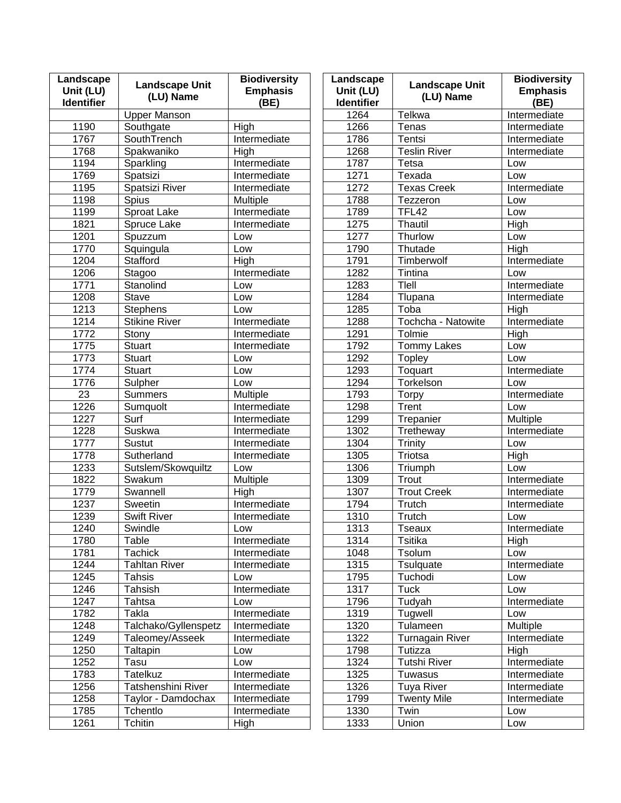| Landscape<br>Unit (LU)<br><b>Identifier</b> | <b>Landscape Unit</b><br>(LU) Name | <b>Biodiversity</b><br><b>Emphasis</b><br>(BE) | Landscape<br>Unit (LU)<br><b>Identifier</b> | <b>Landscape Unit</b><br>(LU) Name | <b>Biodiversity</b><br><b>Emphasis</b><br>(BE) |
|---------------------------------------------|------------------------------------|------------------------------------------------|---------------------------------------------|------------------------------------|------------------------------------------------|
|                                             | <b>Upper Manson</b>                |                                                | 1264                                        | Telkwa                             | Intermediate                                   |
| 1190                                        | Southgate                          | High                                           | 1266                                        | Tenas                              | Intermediate                                   |
| 1767                                        | <b>SouthTrench</b>                 | Intermediate                                   | 1786                                        | Tentsi                             | Intermediate                                   |
| 1768                                        | Spakwaniko                         | High                                           | 1268                                        | <b>Teslin River</b>                | Intermediate                                   |
| 1194                                        | Sparkling                          | Intermediate                                   | 1787                                        | Tetsa                              | Low                                            |
| 1769                                        | Spatsizi                           | Intermediate                                   | 1271                                        | Texada                             | Low                                            |
| 1195                                        | Spatsizi River                     | Intermediate                                   | 1272                                        | <b>Texas Creek</b>                 | Intermediate                                   |
| 1198                                        | <b>Spius</b>                       | Multiple                                       | 1788                                        | Tezzeron                           | Low                                            |
| 1199                                        | Sproat Lake                        | Intermediate                                   | 1789                                        | <b>TFL42</b>                       | Low                                            |
| 1821                                        | Spruce Lake                        | Intermediate                                   | 1275                                        | Thautil                            | High                                           |
| 1201                                        | Spuzzum                            | Low                                            | 1277                                        | Thurlow                            | Low                                            |
| 1770                                        | Squingula                          | Low                                            | 1790                                        | Thutade                            | High                                           |
| 1204                                        | Stafford                           | High                                           | 1791                                        | Timberwolf                         | Intermediate                                   |
| 1206                                        | Stagoo                             | Intermediate                                   | 1282                                        | Tintina                            | Low                                            |
| 1771                                        | Stanolind                          | Low                                            | 1283                                        | Tlell                              | Intermediate                                   |
| 1208                                        | <b>Stave</b>                       | Low                                            | 1284                                        | Tlupana                            | Intermediate                                   |
| 1213                                        | <b>Stephens</b>                    | Low                                            | 1285                                        | Toba                               | High                                           |
| 1214                                        | <b>Stikine River</b>               | Intermediate                                   | 1288                                        | Tochcha - Natowite                 | Intermediate                                   |
| 1772                                        | Stony                              | Intermediate                                   | 1291                                        | Tolmie                             | High                                           |
| 1775                                        | <b>Stuart</b>                      | Intermediate                                   | 1792                                        | <b>Tommy Lakes</b>                 | Low                                            |
| 1773                                        | <b>Stuart</b>                      | Low                                            | 1292                                        | <b>Topley</b>                      | Low                                            |
| 1774                                        | <b>Stuart</b>                      | Low                                            | 1293                                        | Toquart                            | Intermediate                                   |
| 1776                                        | Sulpher                            | Low                                            | 1294                                        | Torkelson                          | Low                                            |
| 23                                          | <b>Summers</b>                     | Multiple                                       | 1793                                        | <b>Torpy</b>                       | Intermediate                                   |
| 1226                                        | Sumquolt                           | Intermediate                                   | 1298                                        | Trent                              | Low                                            |
| 1227                                        | Surf                               | Intermediate                                   | 1299                                        | Trepanier                          | Multiple                                       |
| 1228                                        | Suskwa                             | Intermediate                                   | 1302                                        | Tretheway                          | Intermediate                                   |
| 1777                                        | <b>Sustut</b>                      | Intermediate                                   | 1304                                        | Trinity                            | Low                                            |
| 1778                                        | Sutherland                         | Intermediate                                   | 1305                                        | Triotsa                            | High                                           |
| 1233                                        | Sutslem/Skowquiltz                 | Low                                            | 1306                                        | Triumph                            | Low                                            |
| 1822                                        | Swakum                             | Multiple                                       | 1309                                        | Trout                              | Intermediate                                   |
| 1779                                        | Swannell                           | High                                           | 1307                                        | <b>Trout Creek</b>                 | Intermediate                                   |
| 1237                                        | Sweetin                            | Intermediate                                   | 1794                                        | Trutch                             | Intermediate                                   |
| 1239                                        | <b>Swift River</b>                 | Intermediate                                   | 1310                                        | Trutch                             | Low                                            |
| 1240                                        | Swindle                            | Low                                            | 1313                                        | Tseaux                             | Intermediate                                   |
| 1780                                        | Table                              | Intermediate                                   | 1314                                        | Tsitika                            | High                                           |
| 1781                                        | <b>Tachick</b>                     | Intermediate                                   | 1048                                        | Tsolum                             | Low                                            |
| 1244                                        | <b>Tahltan River</b>               | Intermediate                                   | 1315                                        | Tsulquate                          | Intermediate                                   |
| 1245                                        | Tahsis                             | Low                                            | 1795                                        | Tuchodi                            | Low                                            |
| 1246                                        | Tahsish                            | Intermediate                                   | 1317                                        | <b>Tuck</b>                        | Low                                            |
| 1247                                        | Tahtsa                             | Low                                            | 1796                                        | Tudyah                             | Intermediate                                   |
| 1782                                        | Takla                              | Intermediate                                   | 1319                                        | Tugwell                            | Low                                            |
| 1248                                        | Talchako/Gyllenspetz               | Intermediate                                   | 1320                                        | Tulameen                           | <b>Multiple</b>                                |
| 1249                                        | Taleomey/Asseek                    | Intermediate                                   | 1322                                        | <b>Turnagain River</b>             | Intermediate                                   |
| 1250                                        | Taltapin                           | Low                                            | 1798                                        | Tutizza                            | High                                           |
| 1252                                        | Tasu                               | Low                                            | 1324                                        | <b>Tutshi River</b>                | Intermediate                                   |
| 1783                                        | <b>Tatelkuz</b>                    | Intermediate                                   | 1325                                        | Tuwasus                            | Intermediate                                   |
| 1256                                        | Tatshenshini River                 | Intermediate                                   | 1326                                        | <b>Tuya River</b>                  | Intermediate                                   |
| 1258                                        | Taylor - Damdochax                 | Intermediate                                   | 1799                                        | <b>Twenty Mile</b>                 | Intermediate                                   |
| 1785                                        | Tchentlo                           | Intermediate                                   | 1330                                        | Twin                               | Low                                            |
| 1261                                        | Tchitin                            | High                                           | 1333                                        | Union                              | Low                                            |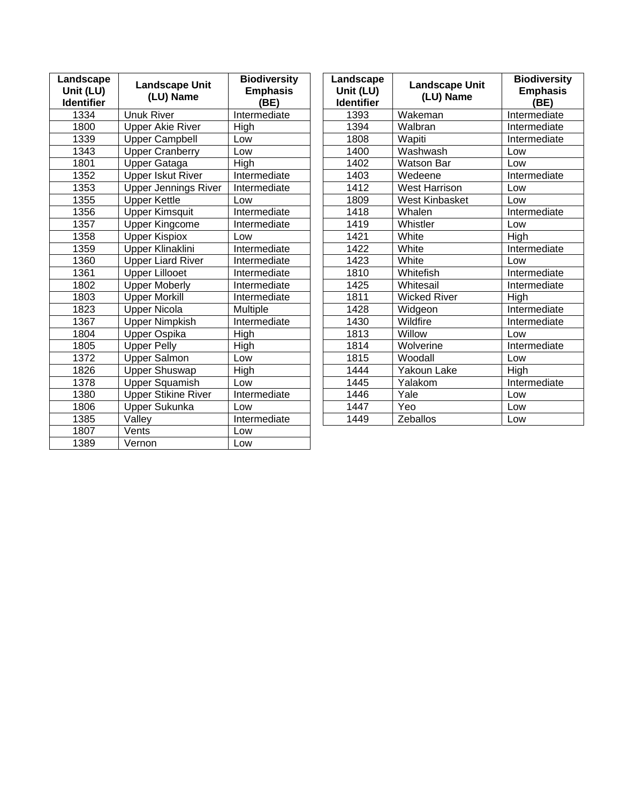| Landscape<br>Unit (LU)<br><b>Identifier</b> | <b>Landscape Unit</b><br>(LU) Name | <b>Biodiversity</b><br><b>Emphasis</b><br>(BE) | Landscape<br>Unit (LU)<br><b>Identifier</b> | <b>Landscape Unit</b><br>(LU) Name | <b>Biodiversity</b><br><b>Emphasis</b><br>(BE) |
|---------------------------------------------|------------------------------------|------------------------------------------------|---------------------------------------------|------------------------------------|------------------------------------------------|
| 1334                                        | <b>Unuk River</b>                  | Intermediate                                   | 1393                                        | Wakeman                            | Intermediate                                   |
| 1800                                        | <b>Upper Akie River</b>            | High                                           | 1394                                        | Walbran                            | Intermediate                                   |
| 1339                                        | <b>Upper Campbell</b>              | Low                                            | 1808                                        | Wapiti                             | Intermediate                                   |
| 1343                                        | <b>Upper Cranberry</b>             | Low                                            | 1400                                        | Washwash                           | Low                                            |
| 1801                                        | Upper Gataga                       | High                                           | 1402                                        | <b>Watson Bar</b>                  | Low                                            |
| 1352                                        | <b>Upper Iskut River</b>           | Intermediate                                   | 1403                                        | Wedeene                            | Intermediate                                   |
| 1353                                        | <b>Upper Jennings River</b>        | Intermediate                                   | 1412                                        | <b>West Harrison</b>               | Low                                            |
| 1355                                        | <b>Upper Kettle</b>                | Low                                            | 1809                                        | <b>West Kinbasket</b>              | Low                                            |
| 1356                                        | <b>Upper Kimsquit</b>              | Intermediate                                   | 1418                                        | Whalen                             | Intermediate                                   |
| 1357                                        | <b>Upper Kingcome</b>              | Intermediate                                   | 1419                                        | Whistler                           | Low                                            |
| 1358                                        | <b>Upper Kispiox</b>               | Low                                            | 1421                                        | White                              | High                                           |
| 1359                                        | Upper Klinaklini                   | Intermediate                                   | 1422                                        | White                              | Intermediate                                   |
| 1360                                        | <b>Upper Liard River</b>           | Intermediate                                   | 1423                                        | White                              | Low                                            |
| 1361                                        | <b>Upper Lillooet</b>              | Intermediate                                   | 1810                                        | Whitefish                          | Intermediate                                   |
| 1802                                        | <b>Upper Moberly</b>               | Intermediate                                   | 1425                                        | Whitesail                          | Intermediate                                   |
| 1803                                        | <b>Upper Morkill</b>               | Intermediate                                   | 1811                                        | <b>Wicked River</b>                | High                                           |
| 1823                                        | <b>Upper Nicola</b>                | Multiple                                       | 1428                                        | Widgeon                            | Intermediate                                   |
| 1367                                        | <b>Upper Nimpkish</b>              | Intermediate                                   | 1430                                        | Wildfire                           | Intermediate                                   |
| 1804                                        | Upper Ospika                       | High                                           | 1813                                        | Willow                             | Low                                            |
| 1805                                        | <b>Upper Pelly</b>                 | High                                           | 1814                                        | Wolverine                          | Intermediate                                   |
| 1372                                        | <b>Upper Salmon</b>                | Low                                            | 1815                                        | Woodall                            | Low                                            |
| 1826                                        | <b>Upper Shuswap</b>               | High                                           | 1444                                        | Yakoun Lake                        | High                                           |
| 1378                                        | <b>Upper Squamish</b>              | Low                                            | 1445                                        | Yalakom                            | Intermediate                                   |
| 1380                                        | <b>Upper Stikine River</b>         | Intermediate                                   | 1446                                        | Yale                               | Low                                            |
| 1806                                        | <b>Upper Sukunka</b>               | Low                                            | 1447                                        | Yeo                                | Low                                            |
| 1385                                        | Valley                             | Intermediate                                   | 1449                                        | Zeballos                           | Low                                            |
| 1807                                        | Vents                              | Low                                            |                                             |                                    |                                                |
| 1389                                        | Vernon                             | Low                                            |                                             |                                    |                                                |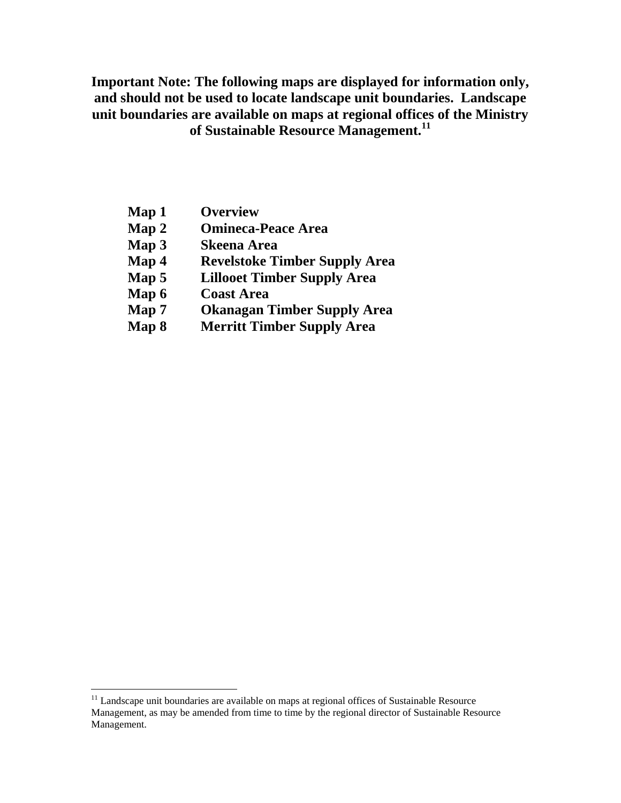**Important Note: The following maps are displayed for information only, and should not be used to locate landscape unit boundaries. Landscape unit boundaries are available on maps at regional offices of the Ministry of Sustainable Resource Management.<sup>11</sup>**

- **Map 1 Overview**
- **Map 2 Omineca-Peace Area**
- **Map 3 Skeena Area**
- **Map 4 Revelstoke Timber Supply Area**
- **Map 5 Lillooet Timber Supply Area**
- **Map 6 Coast Area**

- **Map 7 Okanagan Timber Supply Area**
- **Map 8 Merritt Timber Supply Area**

 $11$  Landscape unit boundaries are available on maps at regional offices of Sustainable Resource Management, as may be amended from time to time by the regional director of Sustainable Resource Management.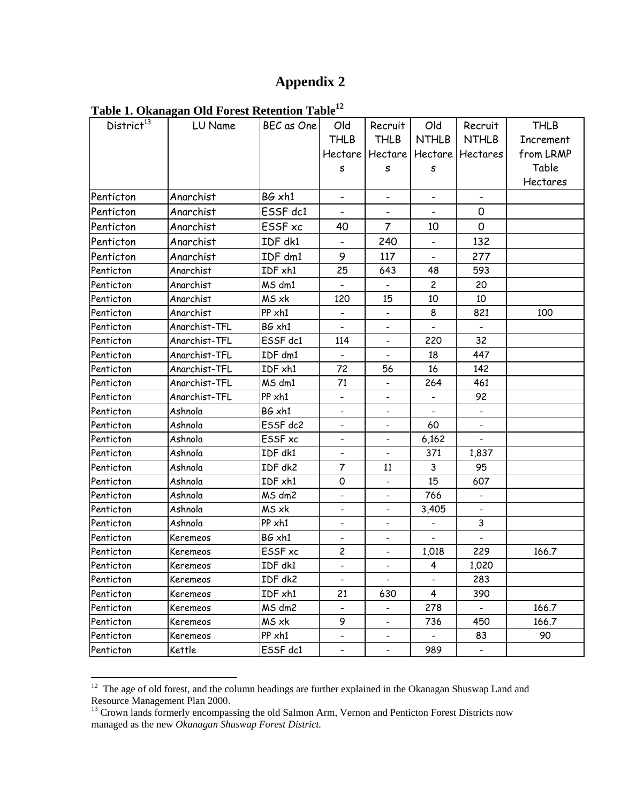# **Appendix 2**

|  | Table 1. Okanagan Old Forest Retention Table <sup>12</sup> |  |
|--|------------------------------------------------------------|--|
|  |                                                            |  |

| District <sup>13</sup> | LU Name       | BEC as One | Old                          | Recruit                      | Old                          | Recruit                  | <b>THLB</b>      |
|------------------------|---------------|------------|------------------------------|------------------------------|------------------------------|--------------------------|------------------|
|                        |               |            | <b>THLB</b>                  | <b>THLB</b>                  | <b>NTHLB</b>                 | <b>NTHLB</b>             | <b>Increment</b> |
|                        |               |            | Hectare                      | Hectare                      | Hectare                      | Hectares                 | from LRMP        |
|                        |               |            | S                            | s                            | s                            |                          | Table            |
|                        |               |            |                              |                              |                              |                          | Hectares         |
| Penticton              | Anarchist     | BG xh1     | $\blacksquare$               | $\blacksquare$               | $\blacksquare$               |                          |                  |
| Penticton              | Anarchist     | ESSF dc1   |                              |                              |                              | 0                        |                  |
| Penticton              | Anarchist     | ESSF xc    | 40                           | $\overline{7}$               | 10                           | 0                        |                  |
| Penticton              | Anarchist     | IDF dk1    |                              | 240                          |                              | 132                      |                  |
| Penticton              | Anarchist     | IDF dm1    | 9                            | 117                          |                              | 277                      |                  |
| Penticton              | Anarchist     | IDF xh1    | 25                           | 643                          | 48                           | 593                      |                  |
| Penticton              | Anarchist     | MS dm1     |                              |                              | $\overline{c}$               | 20                       |                  |
| Penticton              | Anarchist     | MS xk      | 120                          | 15                           | 10                           | 10                       |                  |
| Penticton              | Anarchist     | PP xh1     | $\overline{\phantom{a}}$     | $\overline{\phantom{a}}$     | 8                            | 821                      | 100              |
| Penticton              | Anarchist-TFL | BG xh1     |                              |                              |                              |                          |                  |
| Penticton              | Anarchist-TFL | ESSF dc1   | 114                          |                              | 220                          | 32                       |                  |
| Penticton              | Anarchist-TFL | IDF dm1    | $\overline{\phantom{a}}$     | $\overline{\phantom{a}}$     | 18                           | 447                      |                  |
| Penticton              | Anarchist-TFL | IDF xh1    | 72                           | 56                           | 16                           | 142                      |                  |
| Penticton              | Anarchist-TFL | MS dm1     | 71                           |                              | 264                          | 461                      |                  |
| Penticton              | Anarchist-TFL | PP xh1     | $\overline{\phantom{a}}$     | $\overline{\phantom{a}}$     | $\qquad \qquad \blacksquare$ | 92                       |                  |
| Penticton              | Ashnola       | BG xh1     |                              | $\overline{\phantom{a}}$     |                              |                          |                  |
| Penticton              | Ashnola       | ESSF dc2   |                              | $\overline{\phantom{a}}$     | 60                           |                          |                  |
| Penticton              | Ashnola       | ESSF xc    | -                            | $\overline{\phantom{a}}$     | 6,162                        |                          |                  |
| Penticton              | Ashnola       | IDF dk1    |                              | $\blacksquare$               | 371                          | 1,837                    |                  |
| Penticton              | Ashnola       | IDF dk2    | 7                            | 11                           | 3                            | 95                       |                  |
| Penticton              | Ashnola       | IDF xh1    | 0                            | $\qquad \qquad \blacksquare$ | 15                           | 607                      |                  |
| Penticton              | Ashnola       | MS dm2     | $\overline{\phantom{a}}$     | $\overline{\phantom{a}}$     | 766                          | $\overline{\phantom{a}}$ |                  |
| Penticton              | Ashnola       | MS xk      |                              | $\qquad \qquad -$            | 3,405                        |                          |                  |
| Penticton              | Ashnola       | PP xh1     | $\blacksquare$               | $\qquad \qquad -$            |                              | 3                        |                  |
| Penticton              | Keremeos      | BG xh1     | $\overline{\phantom{a}}$     | $\overline{\phantom{a}}$     |                              |                          |                  |
| Penticton              | Keremeos      | ESSF xc    | $\overline{c}$               | $\overline{\phantom{a}}$     | 1,018                        | 229                      | 166.7            |
| Penticton              | Keremeos      | IDF dk1    |                              |                              | 4                            | 1,020                    |                  |
| Penticton              | Keremeos      | IDF dk2    | $\overline{\phantom{a}}$     | $\blacksquare$               | $\overline{\phantom{a}}$     | 283                      |                  |
| Penticton              | Keremeos      | IDF xh1    | 21                           | 630                          | 4                            | 390                      |                  |
| Penticton              | Keremeos      | MS dm2     |                              | $\overline{\phantom{a}}$     | 278                          |                          | 166.7            |
| Penticton              | Keremeos      | MS xk      | 9                            | $\overline{\phantom{a}}$     | 736                          | 450                      | 166.7            |
| Penticton              | Keremeos      | PP xh1     | $\qquad \qquad \blacksquare$ | -                            |                              | 83                       | 90               |
| Penticton              | Kettle        | ESSF dc1   | $\qquad \qquad -$            | $\overline{\phantom{a}}$     | 989                          | $\overline{\phantom{0}}$ |                  |

 $12$  The age of old forest, and the column headings are further explained in the Okanagan Shuswap Land and Resource Management Plan 2000.

<sup>&</sup>lt;sup>13</sup> Crown lands formerly encompassing the old Salmon Arm, Vernon and Penticton Forest Districts now managed as the new *Okanagan Shuswap Forest District.*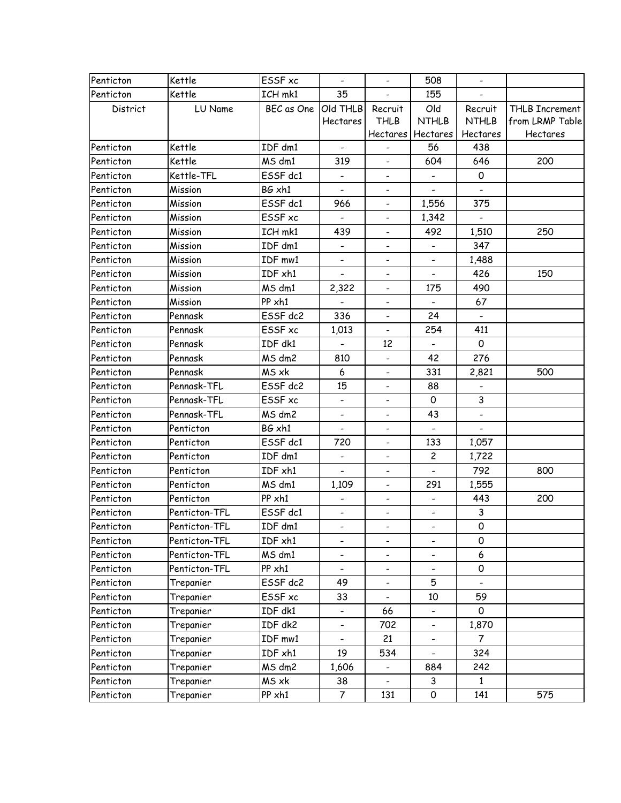| Penticton | Kettle        | <b>ESSF</b> xc | $\overline{\phantom{a}}$ | $\blacksquare$           | 508                      | $\overline{\phantom{a}}$ |                 |
|-----------|---------------|----------------|--------------------------|--------------------------|--------------------------|--------------------------|-----------------|
| Penticton | Kettle        | ICH mk1        | 35                       | $\overline{\phantom{0}}$ | 155                      |                          |                 |
| District  | LU Name       | BEC as One     | Old THLB                 | Recruit                  | Old                      | Recruit                  | THLB Increment  |
|           |               |                | Hectares                 | <b>THLB</b>              | <b>NTHLB</b>             | <b>NTHLB</b>             | from LRMP Table |
|           |               |                |                          | Hectares                 | Hectares                 | Hectares                 | Hectares        |
| Penticton | Kettle        | IDF dm1        | $\overline{\phantom{a}}$ | $\overline{\phantom{a}}$ | 56                       | 438                      |                 |
| Penticton | Kettle        | MS dm1         | 319                      |                          | 604                      | 646                      | 200             |
| Penticton | Kettle-TFL    | ESSF dc1       | -                        | $\overline{\phantom{a}}$ |                          | 0                        |                 |
| Penticton | Mission       | BG xh1         | $\overline{\phantom{a}}$ | $\overline{\phantom{a}}$ |                          |                          |                 |
| Penticton | Mission       | ESSF dc1       | 966                      | $\overline{\phantom{a}}$ | 1,556                    | 375                      |                 |
| Penticton | Mission       | ESSF xc        |                          | $\overline{\phantom{0}}$ | 1,342                    |                          |                 |
| Penticton | Mission       | ICH mk1        | 439                      | $\overline{\phantom{a}}$ | 492                      | 1,510                    | 250             |
| Penticton | Mission       | IDF dm1        | $\overline{\phantom{a}}$ | $\overline{\phantom{a}}$ |                          | 347                      |                 |
| Penticton | Mission       | IDF mw1        |                          |                          |                          | 1,488                    |                 |
| Penticton | Mission       | IDF xh1        | $\overline{\phantom{a}}$ | $\overline{\phantom{a}}$ |                          | 426                      | 150             |
| Penticton | Mission       | MS dm1         | 2,322                    | $\overline{\phantom{a}}$ | 175                      | 490                      |                 |
| Penticton | Mission       | PP xh1         |                          |                          |                          | 67                       |                 |
| Penticton | Pennask       | ESSF dc2       | 336                      | $\qquad \qquad -$        | 24                       | $\overline{\phantom{a}}$ |                 |
| Penticton | Pennask       | ESSF xc        | 1,013                    | $\blacksquare$           | 254                      | 411                      |                 |
| Penticton | Pennask       | IDF dk1        | $\overline{\phantom{a}}$ | 12                       |                          | $\mathsf{o}$             |                 |
| Penticton | Pennask       | MS dm2         | 810                      | $\overline{\phantom{a}}$ | 42                       | 276                      |                 |
| Penticton | Pennask       | MS xk          | 6                        | $\overline{\phantom{a}}$ | 331                      | 2,821                    | 500             |
| Penticton | Pennask-TFL   | ESSF dc2       | 15                       | $\overline{\phantom{a}}$ | 88                       |                          |                 |
| Penticton | Pennask-TFL   | ESSF xc        | $\overline{\phantom{a}}$ | $\blacksquare$           | 0                        | 3                        |                 |
| Penticton | Pennask-TFL   | MS dm2         | $\overline{\phantom{a}}$ | $\overline{\phantom{0}}$ | 43                       | $\overline{\phantom{a}}$ |                 |
| Penticton | Penticton     | BG xh1         | $\overline{\phantom{a}}$ | $\overline{\phantom{a}}$ | $\overline{\phantom{a}}$ | $\overline{\phantom{a}}$ |                 |
| Penticton | Penticton     | ESSF dc1       | 720                      | $\overline{\phantom{a}}$ | 133                      | 1,057                    |                 |
| Penticton | Penticton     | IDF dm1        | $\overline{\phantom{a}}$ | $\overline{\phantom{a}}$ | $\overline{c}$           | 1,722                    |                 |
| Penticton | Penticton     | IDF xh1        | $\blacksquare$           | $\overline{\phantom{a}}$ |                          | 792                      | 800             |
| Penticton | Penticton     | MS dm1         | 1,109                    | $\overline{\phantom{a}}$ | 291                      | 1,555                    |                 |
| Penticton | Penticton     | PP xh1         | $\overline{\phantom{a}}$ | $\overline{\phantom{a}}$ |                          | 443                      | 200             |
| Penticton | Penticton-TFL | ESSF dc1       | $\overline{\phantom{a}}$ | $\overline{\phantom{a}}$ | $\overline{\phantom{a}}$ | 3                        |                 |
| Penticton | Penticton-TFL | IDF dm1        |                          |                          |                          | 0                        |                 |
| Penticton | Penticton-TFL | IDF xh1        | $\overline{\phantom{a}}$ | -                        |                          | 0                        |                 |
| Penticton | Penticton-TFL | MS dm1         | $\overline{\phantom{a}}$ | -                        | $\overline{\phantom{a}}$ | 6                        |                 |
| Penticton | Penticton-TFL | PP xh1         |                          |                          |                          | 0                        |                 |
| Penticton | Trepanier     | ESSF dc2       | 49                       | $\overline{\phantom{a}}$ | 5                        |                          |                 |
| Penticton | Trepanier     | ESSF xc        | 33                       | $\overline{\phantom{a}}$ | 10                       | 59                       |                 |
| Penticton | Trepanier     | IDF dk1        |                          | 66                       |                          | 0                        |                 |
| Penticton | Trepanier     | IDF dk2        | $\overline{\phantom{0}}$ | 702                      |                          | 1,870                    |                 |
| Penticton | Trepanier     | IDF mw1        | $\overline{\phantom{a}}$ | 21                       | $\overline{\phantom{a}}$ | 7                        |                 |
| Penticton | Trepanier     | IDF xh1        | 19                       | 534                      | $\overline{\phantom{a}}$ | 324                      |                 |
| Penticton | Trepanier     | MS dm2         | 1,606                    | $\overline{\phantom{a}}$ | 884                      | 242                      |                 |
| Penticton | Trepanier     | MS xk          | 38                       |                          | 3                        | $\mathbf{1}$             |                 |
| Penticton | Trepanier     | PP xh1         | $\overline{7}$           | 131                      | 0                        | 141                      | 575             |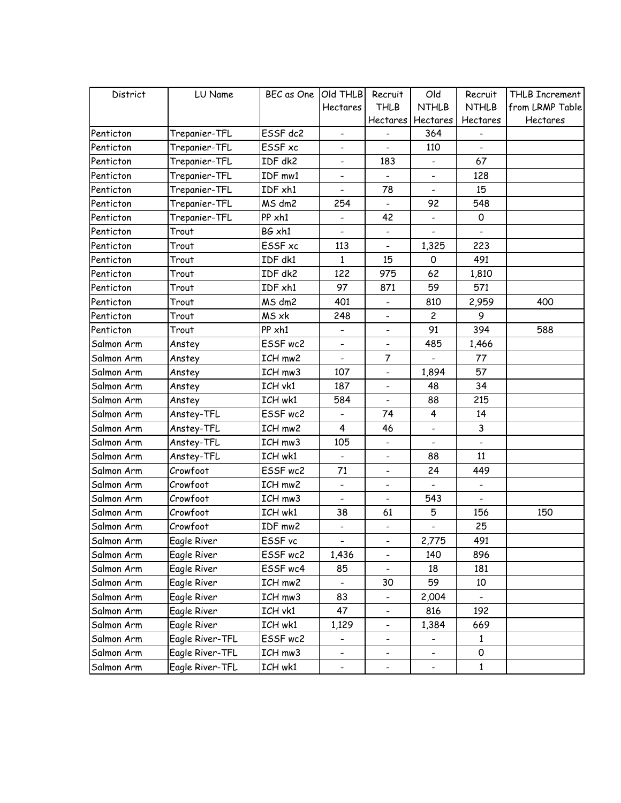| District   | LU Name         | BEC as One Old THLB |                              | Recruit                      | Old                      | Recruit                  | THLB Increment  |
|------------|-----------------|---------------------|------------------------------|------------------------------|--------------------------|--------------------------|-----------------|
|            |                 |                     | Hectares                     | <b>THLB</b>                  | <b>NTHLB</b>             | <b>NTHLB</b>             | from LRMP Table |
|            |                 |                     |                              | Hectares                     | Hectares                 | Hectares                 | Hectares        |
| Penticton  | Trepanier-TFL   | ESSF dc2            |                              |                              | 364                      |                          |                 |
| Penticton  | Trepanier-TFL   | ESSF xc             | $\overline{\phantom{a}}$     | $\overline{\phantom{0}}$     | 110                      |                          |                 |
| Penticton  | Trepanier-TFL   | IDF dk2             | $\overline{\phantom{a}}$     | 183                          | $\overline{\phantom{a}}$ | 67                       |                 |
| Penticton  | Trepanier-TFL   | IDF mw1             |                              |                              |                          | 128                      |                 |
| Penticton  | Trepanier-TFL   | IDF xh1             |                              | 78                           |                          | 15                       |                 |
| Penticton  | Trepanier-TFL   | MS dm2              | 254                          | $\overline{\phantom{m}}$     | 92                       | 548                      |                 |
| Penticton  | Trepanier-TFL   | PP xh1              |                              | 42                           |                          | 0                        |                 |
| Penticton  | Trout           | BG xh1              |                              | $\overline{\phantom{a}}$     |                          |                          |                 |
| Penticton  | Trout           | ESSF xc             | 113                          | $\overline{\phantom{a}}$     | 1,325                    | 223                      |                 |
| Penticton  | Trout           | IDF dk1             | 1                            | 15                           | 0                        | 491                      |                 |
| Penticton  | Trout           | IDF dk2             | 122                          | 975                          | 62                       | 1,810                    |                 |
| Penticton  | Trout           | IDF xh1             | 97                           | 871                          | 59                       | 571                      |                 |
| Penticton  | Trout           | MS dm2              | 401                          |                              | 810                      | 2,959                    | 400             |
| Penticton  | Trout           | MS xk               | 248                          | $\blacksquare$               | $\overline{c}$           | 9                        |                 |
| Penticton  | Trout           | PP xh1              | $\qquad \qquad \blacksquare$ | $\overline{\phantom{0}}$     | 91                       | 394                      | 588             |
| Salmon Arm | Anstey          | ESSF wc2            | $\overline{\phantom{a}}$     | $\overline{\phantom{m}}$     | 485                      | 1,466                    |                 |
| Salmon Arm | Anstey          | ICH mw2             |                              | $\overline{7}$               |                          | 77                       |                 |
| Salmon Arm | Anstey          | ICH mw3             | 107                          | $\overline{\phantom{0}}$     | 1,894                    | 57                       |                 |
| Salmon Arm | Anstey          | ICH vk1             | 187                          | $\frac{1}{2}$                | 48                       | 34                       |                 |
| Salmon Arm | Anstey          | ICH wk1             | 584                          | $\overline{\phantom{0}}$     | 88                       | 215                      |                 |
| Salmon Arm | Anstey-TFL      | ESSF wc2            |                              | 74                           | 4                        | 14                       |                 |
| Salmon Arm | Anstey-TFL      | ICH mw2             | 4                            | 46                           | $\overline{\phantom{a}}$ | 3                        |                 |
| Salmon Arm | Anstey-TFL      | ICH mw3             | 105                          | $\frac{1}{2}$                |                          | $\overline{a}$           |                 |
| Salmon Arm | Anstey-TFL      | ICH wk1             |                              | $\overline{\phantom{0}}$     | 88                       | 11                       |                 |
| Salmon Arm | Crowfoot        | ESSF wc2            | 71                           | $\overline{\phantom{0}}$     | 24                       | 449                      |                 |
| Salmon Arm | Crowfoot        | ICH mw2             | $\overline{\phantom{a}}$     | $\overline{\phantom{a}}$     |                          |                          |                 |
| Salmon Arm | Crowfoot        | ICH mw3             |                              | $\overline{\phantom{a}}$     | 543                      | $\overline{\phantom{0}}$ |                 |
| Salmon Arm | Crowfoot        | ICH wk1             | 38                           | 61                           | 5                        | 156                      | 150             |
| Salmon Arm | Crowfoot        | IDF mw2             | $\overline{\phantom{a}}$     | $\overline{\phantom{a}}$     |                          | 25                       |                 |
| Salmon Arm | Eagle River     | ESSF vc             |                              |                              | 2,775                    | 491                      |                 |
| Salmon Arm | Eagle River     | ESSF wc2            | 1,436                        | $\overline{\phantom{0}}$     | 140                      | 896                      |                 |
| Salmon Arm | Eagle River     | ESSF wc4            | 85                           | $\overline{\phantom{0}}$     | 18                       | 181                      |                 |
| Salmon Arm | Eagle River     | ICH mw2             |                              | 30                           | 59                       | 10                       |                 |
| Salmon Arm | Eagle River     | ICH mw3             | 83                           | -                            | 2,004                    |                          |                 |
| Salmon Arm | Eagle River     | ICH vk1             | 47                           | $\qquad \qquad \blacksquare$ | 816                      | 192                      |                 |
| Salmon Arm | Eagle River     | ICH wk1             | 1,129                        | $\overline{\phantom{0}}$     | 1,384                    | 669                      |                 |
| Salmon Arm | Eagle River-TFL | ESSF wc2            |                              |                              |                          | 1                        |                 |
| Salmon Arm | Eagle River-TFL | ICH mw3             | $\overline{\phantom{a}}$     | -                            | $\overline{\phantom{a}}$ | 0                        |                 |
| Salmon Arm | Eagle River-TFL | ICH wk1             | $\overline{\phantom{0}}$     | $\overline{\phantom{0}}$     | $\overline{\phantom{a}}$ | $\mathbf{1}$             |                 |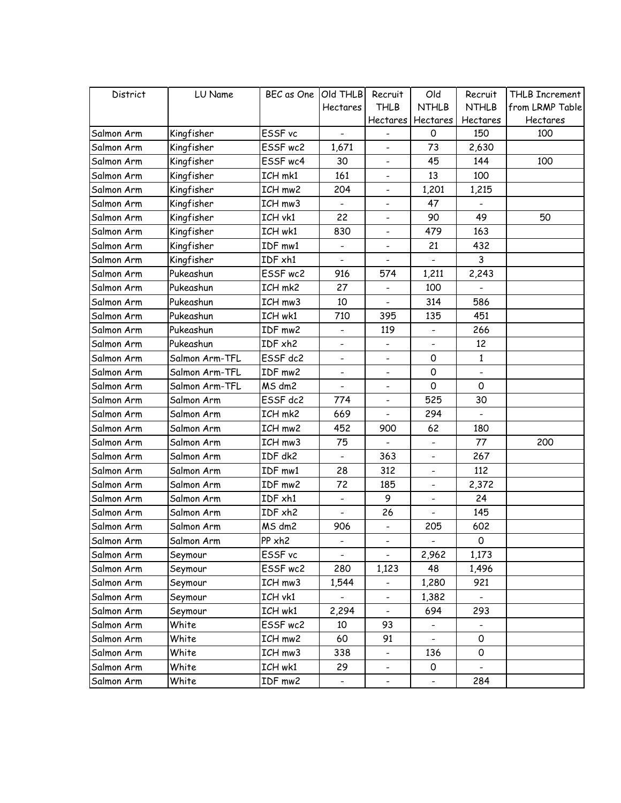| District   | LU Name        | BEC as One   Old THLB |                              | Recruit                  | Old                      | Recruit                  | THLB Increment  |
|------------|----------------|-----------------------|------------------------------|--------------------------|--------------------------|--------------------------|-----------------|
|            |                |                       | Hectares                     | <b>THLB</b>              | <b>NTHLB</b>             | <b>NTHLB</b>             | from LRMP Table |
|            |                |                       |                              | Hectares                 | Hectares                 | Hectares                 | Hectares        |
| Salmon Arm | Kingfisher     | ESSF vc               |                              |                          | 0                        | 150                      | 100             |
| Salmon Arm | Kingfisher     | ESSF wc2              | 1,671                        | $\overline{\phantom{0}}$ | 73                       | 2,630                    |                 |
| Salmon Arm | Kingfisher     | ESSF wc4              | 30                           | $\overline{\phantom{0}}$ | 45                       | 144                      | 100             |
| Salmon Arm | Kingfisher     | ICH mk1               | 161                          | $\overline{\phantom{0}}$ | 13                       | 100                      |                 |
| Salmon Arm | Kingfisher     | ICH mw2               | 204                          | $\overline{\phantom{0}}$ | 1,201                    | 1,215                    |                 |
| Salmon Arm | Kingfisher     | ICH mw3               | $\overline{\phantom{a}}$     | $\overline{\phantom{0}}$ | 47                       |                          |                 |
| Salmon Arm | Kingfisher     | ICH vk1               | 22                           | $\overline{\phantom{0}}$ | 90                       | 49                       | 50              |
| Salmon Arm | Kingfisher     | ICH wk1               | 830                          | $\overline{\phantom{0}}$ | 479                      | 163                      |                 |
| Salmon Arm | Kingfisher     | IDF mw1               | $\overline{\phantom{a}}$     | $\overline{\phantom{0}}$ | 21                       | 432                      |                 |
| Salmon Arm | Kingfisher     | IDF xh1               | $\overline{\phantom{0}}$     | $\overline{\phantom{0}}$ |                          | 3                        |                 |
| Salmon Arm | Pukeashun      | ESSF wc2              | 916                          | 574                      | 1,211                    | 2,243                    |                 |
| Salmon Arm | Pukeashun      | ICH mk2               | 27                           | $\overline{\phantom{0}}$ | 100                      |                          |                 |
| Salmon Arm | Pukeashun      | ICH mw3               | 10                           | $\overline{\phantom{0}}$ | 314                      | 586                      |                 |
| Salmon Arm | Pukeashun      | ICH wk1               | 710                          | 395                      | 135                      | 451                      |                 |
| Salmon Arm | Pukeashun      | IDF mw2               | $\qquad \qquad \blacksquare$ | 119                      |                          | 266                      |                 |
| Salmon Arm | Pukeashun      | IDF xh2               | $\overline{\phantom{a}}$     | $\overline{\phantom{0}}$ | $\overline{\phantom{a}}$ | 12                       |                 |
| Salmon Arm | Salmon Arm-TFL | ESSF dc2              |                              | $\overline{\phantom{0}}$ | 0                        | $\mathbf{1}$             |                 |
| Salmon Arm | Salmon Arm-TFL | IDF mw2               | -                            | $\overline{\phantom{0}}$ | $\mathsf O$              |                          |                 |
| Salmon Arm | Salmon Arm-TFL | MS dm2                | $\overline{\phantom{a}}$     | $\overline{\phantom{0}}$ | $\Omega$                 | 0                        |                 |
| Salmon Arm | Salmon Arm     | ESSF dc2              | 774                          | $\overline{\phantom{0}}$ | 525                      | 30                       |                 |
| Salmon Arm | Salmon Arm     | ICH mk2               | 669                          |                          | 294                      |                          |                 |
| Salmon Arm | Salmon Arm     | ICH mw2               | 452                          | 900                      | 62                       | 180                      |                 |
| Salmon Arm | Salmon Arm     | ICH mw3               | 75                           | $\overline{a}$           |                          | 77                       | 200             |
| Salmon Arm | Salmon Arm     | IDF dk2               |                              | 363                      |                          | 267                      |                 |
| Salmon Arm | Salmon Arm     | IDF mw1               | 28                           | 312                      | -                        | 112                      |                 |
| Salmon Arm | Salmon Arm     | IDF mw2               | 72                           | 185                      |                          | 2,372                    |                 |
| Salmon Arm | Salmon Arm     | IDF xh1               |                              | 9                        |                          | 24                       |                 |
| Salmon Arm | Salmon Arm     | IDF xh2               |                              | 26                       |                          | 145                      |                 |
| Salmon Arm | Salmon Arm     | MS dm2                | 906                          | $\overline{\phantom{0}}$ | 205                      | 602                      |                 |
| Salmon Arm | Salmon Arm     | PP xh2                |                              |                          |                          | 0                        |                 |
| Salmon Arm | Seymour        | ESSF vc               |                              | $\overline{\phantom{0}}$ | 2,962                    | 1,173                    |                 |
| Salmon Arm | Seymour        | ESSF wc2              | 280                          | 1,123                    | 48                       | 1,496                    |                 |
| Salmon Arm | Seymour        | ICH mw3               | 1,544                        | $\overline{\phantom{0}}$ | 1,280                    | 921                      |                 |
| Salmon Arm | Seymour        | ICH vk1               |                              | -                        | 1,382                    |                          |                 |
| Salmon Arm | Seymour        | ICH wk1               | 2,294                        | $\overline{\phantom{a}}$ | 694                      | 293                      |                 |
| Salmon Arm | White          | ESSF wc2              | 10                           | 93                       |                          |                          |                 |
| Salmon Arm | White          | ICH mw2               | 60                           | 91                       |                          | $\mathsf{O}$             |                 |
| Salmon Arm | White          | ICH mw3               | 338                          | $\overline{\phantom{0}}$ | 136                      | 0                        |                 |
| Salmon Arm | White          | ICH wk1               | 29                           | $\overline{\phantom{0}}$ | $\mathsf O$              | $\overline{\phantom{a}}$ |                 |
| Salmon Arm | White          | IDF mw2               | $\qquad \qquad -$            |                          |                          | 284                      |                 |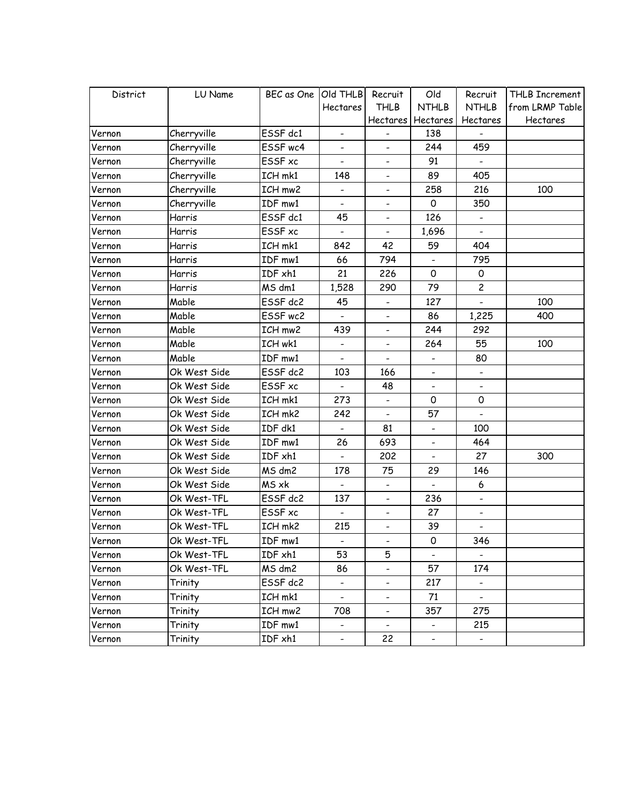| District | LU Name      | BEC as One Old THLB |                          | Recruit                      | Old                      | Recruit                      | THLB Increment  |
|----------|--------------|---------------------|--------------------------|------------------------------|--------------------------|------------------------------|-----------------|
|          |              |                     | Hectares                 | <b>THLB</b>                  | <b>NTHLB</b>             | <b>NTHLB</b>                 | from LRMP Table |
|          |              |                     |                          | Hectares                     | Hectares                 | Hectares                     | Hectares        |
| Vernon   | Cherryville  | ESSF dc1            |                          |                              | 138                      |                              |                 |
| Vernon   | Cherryville  | ESSF wc4            | $\overline{\phantom{a}}$ | $\overline{\phantom{0}}$     | 244                      | 459                          |                 |
| Vernon   | Cherryville  | ESSF xc             | $\overline{\phantom{a}}$ | $\overline{\phantom{a}}$     | 91                       | $\overline{\phantom{a}}$     |                 |
| Vernon   | Cherryville  | ICH mk1             | 148                      | $\overline{\phantom{0}}$     | 89                       | 405                          |                 |
| Vernon   | Cherryville  | ICH mw2             |                          | $\qquad \qquad \blacksquare$ | 258                      | 216                          | 100             |
| Vernon   | Cherryville  | IDF mw1             | $\overline{\phantom{a}}$ | $\qquad \qquad \blacksquare$ | 0                        | 350                          |                 |
| Vernon   | Harris       | ESSF dc1            | 45                       | $\overline{\phantom{0}}$     | 126                      |                              |                 |
| Vernon   | Harris       | ESSF xc             |                          | $\overline{\phantom{a}}$     | 1,696                    |                              |                 |
| Vernon   | Harris       | ICH mk1             | 842                      | 42                           | 59                       | 404                          |                 |
| Vernon   | Harris       | IDF mw1             | 66                       | 794                          |                          | 795                          |                 |
| Vernon   | Harris       | IDF xh1             | 21                       | 226                          | 0                        | 0                            |                 |
| Vernon   | Harris       | MS dm1              | 1,528                    | 290                          | 79                       | $\overline{c}$               |                 |
| Vernon   | Mable        | ESSF dc2            | 45                       |                              | 127                      |                              | 100             |
| Vernon   | Mable        | ESSF wc2            |                          | $\blacksquare$               | 86                       | 1,225                        | 400             |
| Vernon   | Mable        | ICH mw2             | 439                      | $\qquad \qquad -$            | 244                      | 292                          |                 |
| Vernon   | Mable        | ICH wk1             | $\overline{\phantom{a}}$ | $\overline{\phantom{a}}$     | 264                      | 55                           | 100             |
| Vernon   | Mable        | IDF mw1             |                          | $\overline{\phantom{0}}$     |                          | 80                           |                 |
| Vernon   | Ok West Side | ESSF dc2            | 103                      | 166                          |                          | $\qquad \qquad \blacksquare$ |                 |
| Vernon   | Ok West Side | ESSF xc             | $\overline{\phantom{a}}$ | 48                           | $\overline{\phantom{a}}$ | $\overline{\phantom{0}}$     |                 |
| Vernon   | Ok West Side | ICH mk1             | 273                      | $\overline{\phantom{0}}$     | 0                        | 0                            |                 |
| Vernon   | Ok West Side | ICH mk2             | 242                      | $\overline{\phantom{a}}$     | 57                       |                              |                 |
| Vernon   | Ok West Side | IDF dk1             | $\overline{\phantom{a}}$ | 81                           | $\overline{\phantom{a}}$ | 100                          |                 |
| Vernon   | Ok West Side | IDF mw1             | 26                       | 693                          |                          | 464                          |                 |
| Vernon   | Ok West Side | IDF xh1             |                          | 202                          |                          | 27                           | 300             |
| Vernon   | Ok West Side | MS dm2              | 178                      | 75                           | 29                       | 146                          |                 |
| Vernon   | Ok West Side | MS xk               | $\overline{\phantom{a}}$ |                              |                          | 6                            |                 |
| Vernon   | Ok West-TFL  | ESSF dc2            | 137                      | $\overline{\phantom{a}}$     | 236                      | $\overline{\phantom{a}}$     |                 |
| Vernon   | Ok West-TFL  | ESSF xc             |                          | $\overline{\phantom{a}}$     | 27                       | $\overline{\phantom{0}}$     |                 |
| Vernon   | Ok West-TFL  | ICH mk2             | 215                      | $\overline{\phantom{a}}$     | 39                       | $\overline{\phantom{0}}$     |                 |
| Vernon   | Ok West-TFL  | IDF mw1             |                          |                              | 0                        | 346                          |                 |
| Vernon   | Ok West-TFL  | IDF xh1             | 53                       | 5                            |                          |                              |                 |
| Vernon   | Ok West-TFL  | MS dm2              | 86                       | $\overline{\phantom{0}}$     | 57                       | 174                          |                 |
| Vernon   | Trinity      | ESSF dc2            |                          | $\overline{\phantom{0}}$     | 217                      | $\overline{\phantom{0}}$     |                 |
| Vernon   | Trinity      | ICH mk1             |                          | -                            | 71                       |                              |                 |
| Vernon   | Trinity      | ICH mw2             | 708                      | $\overline{\phantom{a}}$     | 357                      | 275                          |                 |
| Vernon   | Trinity      | IDF mw1             | $\overline{\phantom{0}}$ | $\overline{\phantom{a}}$     |                          | 215                          |                 |
| Vernon   | Trinity      | IDF xh1             | $\overline{\phantom{a}}$ | 22                           | $\overline{\phantom{a}}$ | $\overline{\phantom{a}}$     |                 |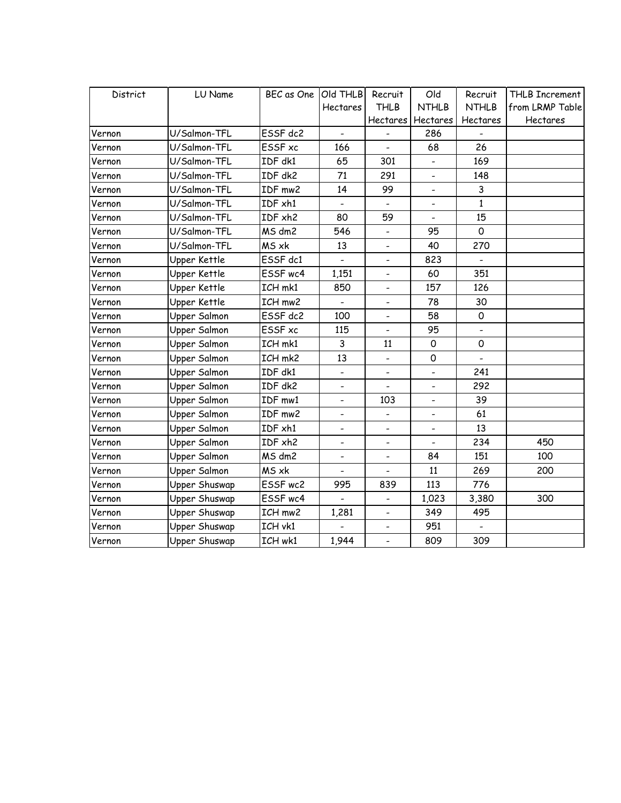| District | LU Name             | BEC as One   Old THLB |                          | Recruit                      | Old                      | Recruit      | THLB Increment  |
|----------|---------------------|-----------------------|--------------------------|------------------------------|--------------------------|--------------|-----------------|
|          |                     |                       | Hectares                 | <b>THLB</b>                  | <b>NTHLB</b>             | <b>NTHLB</b> | from LRMP Table |
|          |                     |                       |                          | Hectares                     | Hectares                 | Hectares     | Hectares        |
| Vernon   | U/Salmon-TFL        | ESSF dc2              |                          |                              | 286                      |              |                 |
| Vernon   | U/Salmon-TFL        | ESSF xc               | 166                      |                              | 68                       | 26           |                 |
| Vernon   | U/Salmon-TFL        | IDF dk1               | 65                       | 301                          | $\overline{\phantom{a}}$ | 169          |                 |
| Vernon   | U/Salmon-TFL        | IDF dk2               | 71                       | 291                          | $\overline{\phantom{a}}$ | 148          |                 |
| Vernon   | U/Salmon-TFL        | IDF mw2               | 14                       | 99                           |                          | 3            |                 |
| Vernon   | U/Salmon-TFL        | IDF xh1               |                          |                              |                          | $\mathbf{1}$ |                 |
| Vernon   | U/Salmon-TFL        | IDF xh2               | 80                       | 59                           | $\overline{\phantom{a}}$ | 15           |                 |
| Vernon   | U/Salmon-TFL        | MS dm2                | 546                      | $\overline{\phantom{0}}$     | 95                       | $\mathsf{O}$ |                 |
| Vernon   | U/Salmon-TFL        | MS xk                 | 13                       | $\overline{\phantom{a}}$     | 40                       | 270          |                 |
| Vernon   | Upper Kettle        | ESSF dc1              |                          | $\overline{\phantom{a}}$     | 823                      |              |                 |
| Vernon   | Upper Kettle        | ESSF wc4              | 1,151                    | $\overline{\phantom{a}}$     | 60                       | 351          |                 |
| Vernon   | Upper Kettle        | ICH mk1               | 850                      | $\overline{\phantom{a}}$     | 157                      | 126          |                 |
| Vernon   | Upper Kettle        | ICH mw2               |                          | $\qquad \qquad -$            | 78                       | 30           |                 |
| Vernon   | Upper Salmon        | ESSF dc2              | 100                      | $\qquad \qquad -$            | 58                       | $\mathsf{O}$ |                 |
| Vernon   | <b>Upper Salmon</b> | ESSF xc               | 115                      | $\blacksquare$               | 95                       |              |                 |
| Vernon   | Upper Salmon        | ICH mk1               | 3                        | 11                           | $\mathsf{O}\xspace$      | 0            |                 |
| Vernon   | Upper Salmon        | ICH mk2               | 13                       | $\overline{\phantom{0}}$     | $\mathsf{O}\xspace$      |              |                 |
| Vernon   | Upper Salmon        | IDF dk1               | $\overline{\phantom{a}}$ | $\overline{\phantom{a}}$     | $\overline{\phantom{a}}$ | 241          |                 |
| Vernon   | Upper Salmon        | IDF dk2               |                          | $\blacksquare$               |                          | 292          |                 |
| Vernon   | Upper Salmon        | IDF mw1               |                          | 103                          |                          | 39           |                 |
| Vernon   | Upper Salmon        | IDF mw2               | $\overline{\phantom{a}}$ | $\qquad \qquad \blacksquare$ |                          | 61           |                 |
| Vernon   | Upper Salmon        | IDF xh1               | $\overline{\phantom{a}}$ | $\overline{\phantom{a}}$     |                          | 13           |                 |
| Vernon   | Upper Salmon        | IDF xh2               |                          | $\overline{\phantom{a}}$     |                          | 234          | 450             |
| Vernon   | Upper Salmon        | MS dm2                | $\overline{\phantom{a}}$ | $\overline{\phantom{a}}$     | 84                       | 151          | 100             |
| Vernon   | Upper Salmon        | MS xk                 | $\overline{\phantom{a}}$ | $\overline{\phantom{a}}$     | 11                       | 269          | 200             |
| Vernon   | Upper Shuswap       | ESSF wc2              | 995                      | 839                          | 113                      | 776          |                 |
| Vernon   | Upper Shuswap       | ESSF wc4              |                          |                              | 1,023                    | 3,380        | 300             |
| Vernon   | Upper Shuswap       | ICH mw2               | 1,281                    | $\blacksquare$               | 349                      | 495          |                 |
| Vernon   | Upper Shuswap       | ICH vk1               |                          | $\overline{\phantom{0}}$     | 951                      |              |                 |
| Vernon   | Upper Shuswap       | ICH wk1               | 1,944                    | $\overline{a}$               | 809                      | 309          |                 |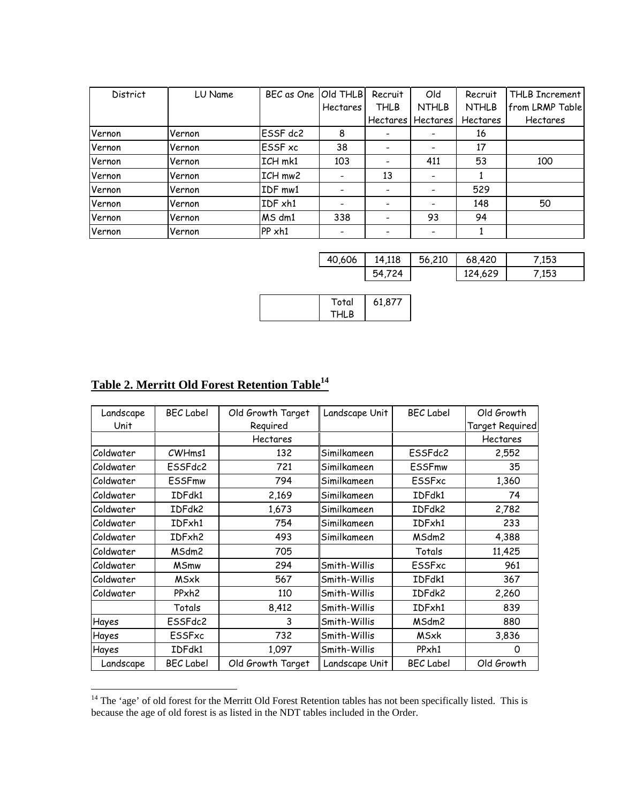| <b>District</b> | LU Name | BEC as One     | Old THLB                 | Recruit         | Old             | Recruit         | THLB Increment  |
|-----------------|---------|----------------|--------------------------|-----------------|-----------------|-----------------|-----------------|
|                 |         |                | <b>Hectares</b>          | <b>THLB</b>     | <b>NTHLB</b>    | <b>NTHLB</b>    | from LRMP Table |
|                 |         |                |                          | <b>Hectares</b> | <b>Hectares</b> | <b>Hectares</b> | <b>Hectares</b> |
| Vernon          | Vernon  | ESSF dc2       | 8                        |                 |                 | 16              |                 |
| Vernon          | Vernon  | <b>ESSF</b> xc | 38                       |                 |                 | 17              |                 |
| Vernon          | Vernon  | ICH mk1        | 103                      |                 | 411             | 53              | 100             |
| Vernon          | Vernon  | ICH mw2        | -                        | 13              |                 |                 |                 |
| Vernon          | Vernon  | IDF mw1        | $\overline{\phantom{a}}$ |                 |                 | 529             |                 |
| Vernon          | Vernon  | IDF xh1        | $\overline{\phantom{a}}$ |                 |                 | 148             | 50              |
| Vernon          | Vernon  | MS dm1         | 338                      |                 | 93              | 94              |                 |
| Vernon          | Vernon  | PP xh1         |                          |                 |                 |                 |                 |

| 40,606 | 14,118           | 56,210 | 68,420  | 7,153 |
|--------|------------------|--------|---------|-------|
|        | 54.,<br>724<br>⊷ |        | 124,629 | 7,153 |

|  | Total | 61,877 |  |
|--|-------|--------|--|
|  | THLB  |        |  |

# **Table 2. Merritt Old Forest Retention Table14**

 $\mathcal{L}_{\text{max}}$ 

| Landscape  | <b>BEC Label</b>  | Old Growth Target | Landscape Unit | <b>BEC</b> Label | Old Growth      |
|------------|-------------------|-------------------|----------------|------------------|-----------------|
| Unit       |                   | Required          |                |                  | Target Required |
|            |                   | Hectares          |                |                  | Hectares        |
| Coldwater  | CWHms1            | 132               | Similkameen    | ESSFdc2          | 2,552           |
| Coldwater  | ESSFdc2           | 721               | Similkameen    | <b>ESSFmw</b>    | 35              |
| lColdwater | <b>ESSFmw</b>     | 794               | Similkameen    | ESSFxc           | 1,360           |
| Coldwater  | IDFdk1            | 2,169             | Similkameen    | IDFdk1           | 74              |
| Coldwater  | IDFdk2            | 1,673             | Similkameen    | IDFdk2           | 2,782           |
| Coldwater  | IDFxh1            | 754               | Similkameen    | IDFxh1           | 233             |
| Coldwater  | IDFxh2            | 493               | Similkameen    | MSdm2            | 4,388           |
| Coldwater  | MSdm2             | 705               |                | Totals           | 11,425          |
| Coldwater  | <b>MSmw</b>       | 294               | Smith-Willis   | ESSFxc           | 961             |
| Coldwater  | MSxk              | 567               | Smith-Willis   | IDFdk1           | 367             |
| Coldwater  | PPxh <sub>2</sub> | 110               | Smith-Willis   | IDFdk2           | 2,260           |
|            | Totals            | 8,412             | Smith-Willis   | IDFxh1           | 839             |
| Hayes      | ESSFdc2           | 3                 | Smith-Willis   | MSdm2            | 880             |
| Hayes      | ESSFxc            | 732               | Smith-Willis   | MSxk             | 3,836           |
| Hayes      | IDFdk1            | 1,097             | Smith-Willis   | PPxh1            | Ω               |
| Landscape  | <b>BEC</b> Label  | Old Growth Target | Landscape Unit | <b>BEC</b> Label | Old Growth      |
|            |                   |                   |                |                  |                 |

<sup>&</sup>lt;sup>14</sup> The 'age' of old forest for the Merritt Old Forest Retention tables has not been specifically listed. This is because the age of old forest is as listed in the NDT tables included in the Order.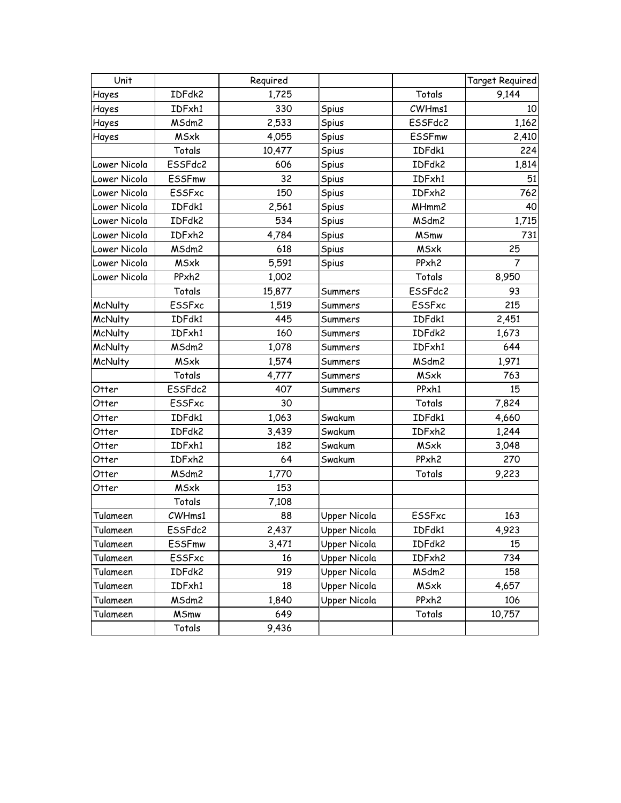| Unit           |                   | Required |              |                   | Target Required |
|----------------|-------------------|----------|--------------|-------------------|-----------------|
| Hayes          | IDFdk2            | 1,725    |              | Totals            | 9,144           |
| Hayes          | IDFxh1            | 330      | Spius        | CWHms1            | 10              |
| Hayes          | MSdm2             | 2,533    | Spius        | ESSFdc2           | 1,162           |
| Hayes          | <b>MSxk</b>       | 4,055    | Spius        | <b>ESSFmw</b>     | 2,410           |
|                | Totals            | 10,477   | Spius        | IDFdk1            | 224             |
| Lower Nicola   | ESSFdc2           | 606      | Spius        | IDFdk2            | 1,814           |
| Lower Nicola   | <b>ESSFmw</b>     | 32       | Spius        | IDFxh1            | 51              |
| Lower Nicola   | <b>ESSFxc</b>     | 150      | Spius        | IDFxh2            | 762             |
| Lower Nicola   | IDFdk1            | 2,561    | Spius        | MHmm2             | 40              |
| Lower Nicola   | IDFdk2            | 534      | Spius        | MSdm2             | 1,715           |
| Lower Nicola   | IDFxh2            | 4,784    | Spius        | <b>MSmw</b>       | 731             |
| Lower Nicola   | MSdm2             | 618      | Spius        | <b>MSxk</b>       | 25              |
| Lower Nicola   | <b>MSxk</b>       | 5,591    | Spius        | PPxh <sub>2</sub> | 7               |
| Lower Nicola   | PPxh <sub>2</sub> | 1,002    |              | Totals            | 8,950           |
|                | Totals            | 15,877   | Summers      | ESSFdc2           | 93              |
| <b>McNulty</b> | ESSFxc            | 1,519    | Summers      | <b>ESSFxc</b>     | 215             |
| McNulty        | IDFdk1            | 445      | Summers      | IDFdk1            | 2,451           |
| <b>McNulty</b> | IDFxh1            | 160      | Summers      | IDFdk2            | 1,673           |
| <b>McNulty</b> | MSdm2             | 1,078    | Summers      | IDFxh1            | 644             |
| McNulty        | <b>MSxk</b>       | 1,574    | Summers      | MSdm2             | 1,971           |
|                | Totals            | 4,777    | Summers      | <b>MSxk</b>       | 763             |
| Otter          | ESSFdc2           | 407      | Summers      | PPxh1             | 15              |
| Otter          | <b>ESSFxc</b>     | 30       |              | Totals            | 7,824           |
| Otter          | IDFdk1            | 1,063    | Swakum       | IDFdk1            | 4,660           |
| Otter          | IDFdk2            | 3,439    | Swakum       | IDFxh2            | 1,244           |
| Otter          | IDFxh1            | 182      | Swakum       | <b>MSxk</b>       | 3,048           |
| Otter          | IDFxh2            | 64       | Swakum       | PPxh <sub>2</sub> | 270             |
| Otter          | MSdm2             | 1,770    |              | Totals            | 9,223           |
| Otter          | <b>MSxk</b>       | 153      |              |                   |                 |
|                | Totals            | 7,108    |              |                   |                 |
| Tulameen       | CWHms1            | 88       | Upper Nicola | <b>ESSFxc</b>     | 163             |
| Tulameen       | ESSFdc2           | 2,437    | Upper Nicola | IDFdk1            | 4,923           |
| Tulameen       | <b>ESSFmw</b>     | 3,471    | Upper Nicola | IDFdk2            | 15              |
| Tulameen       | ESSFxc            | 16       | Upper Nicola | IDFxh2            | 734             |
| Tulameen       | IDFdk2            | 919      | Upper Nicola | MSdm2             | 158             |
| Tulameen       | IDFxh1            | 18       | Upper Nicola | <b>MSxk</b>       | 4,657           |
| Tulameen       | MSdm2             | 1,840    | Upper Nicola | PPxh <sub>2</sub> | 106             |
| Tulameen       | <b>MSmw</b>       | 649      |              | Totals            | 10,757          |
|                | Totals            | 9,436    |              |                   |                 |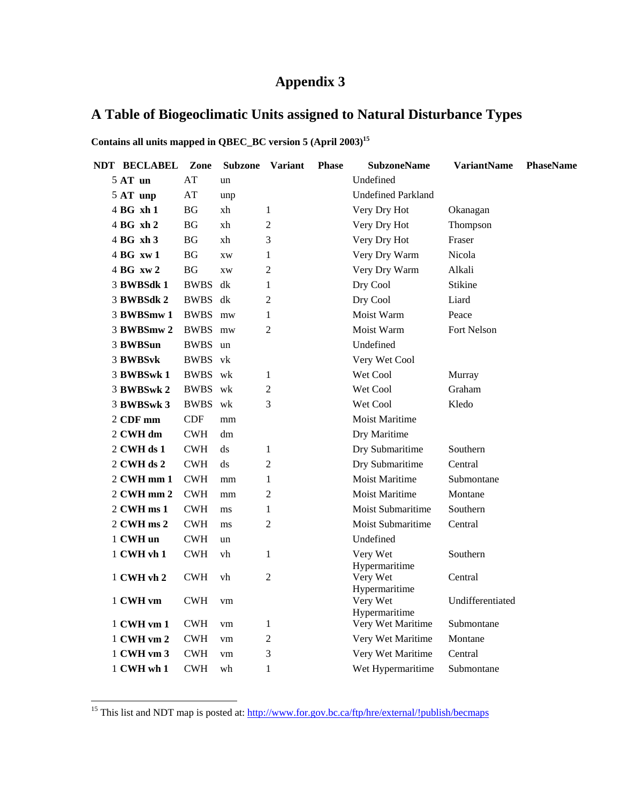# **Appendix 3**

# **A Table of Biogeoclimatic Units assigned to Natural Disturbance Types**

Contains all units mapped in QBEC\_BC version 5 (April 2003)<sup>15</sup>

| <b>NDT BECLABEL</b>              | Zone       | <b>Subzone</b>    | <b>Variant</b> | <b>Phase</b> | <b>SubzoneName</b>        | <b>VariantName</b> | <b>PhaseName</b> |
|----------------------------------|------------|-------------------|----------------|--------------|---------------------------|--------------------|------------------|
| $5AT$ un                         | AT         | un                |                |              | Undefined                 |                    |                  |
| 5 AT unp                         | AT         | unp               |                |              | <b>Undefined Parkland</b> |                    |                  |
| 4 BG xh 1                        | BG         | xh                | 1              |              | Very Dry Hot              | Okanagan           |                  |
| $4BG$ xh 2                       | <b>BG</b>  | xh                | $\overline{2}$ |              | Very Dry Hot              | Thompson           |                  |
| 4 BG xh 3                        | BG         | xh                | 3              |              | Very Dry Hot              | Fraser             |                  |
| $4BG$ xw 1                       | <b>BG</b>  | <b>XW</b>         | 1              |              | Very Dry Warm             | Nicola             |                  |
| 4 <sub>B</sub> G <sub>xy</sub> 2 | <b>BG</b>  | XW                | 2              |              | Very Dry Warm             | Alkali             |                  |
| 3 BWBSdk 1                       | BWBS dk    |                   | 1              |              | Dry Cool                  | Stikine            |                  |
| 3 BWBSdk 2                       | BWBS dk    |                   | $\overline{2}$ |              | Dry Cool                  | Liard              |                  |
| 3 BWBSmw 1                       | BWBS mw    |                   | 1              |              | Moist Warm                | Peace              |                  |
| 3 BWBSmw 2                       | BWBS mw    |                   | $\overline{2}$ |              | Moist Warm                | <b>Fort Nelson</b> |                  |
| 3 BWBSun                         | BWBS un    |                   |                |              | Undefined                 |                    |                  |
| 3 BWBSvk                         | BWBS vk    |                   |                |              | Very Wet Cool             |                    |                  |
| 3 BWBSwk 1                       | BWBS wk    |                   | 1              |              | Wet Cool                  | Murray             |                  |
| 3 BWBSwk 2                       | BWBS wk    |                   | $\overline{2}$ |              | Wet Cool                  | Graham             |                  |
| 3 BWBSwk 3                       | BWBS wk    |                   | 3              |              | Wet Cool                  | Kledo              |                  |
| $2$ CDF mm                       | <b>CDF</b> | mm                |                |              | <b>Moist Maritime</b>     |                    |                  |
| 2 CWH dm                         | <b>CWH</b> | dm                |                |              | Dry Maritime              |                    |                  |
| $2$ CWH ds 1                     | <b>CWH</b> | ds                | 1              |              | Dry Submaritime           | Southern           |                  |
| $2$ CWH ds $2$                   | <b>CWH</b> | ds                | 2              |              | Dry Submaritime           | Central            |                  |
| $2$ CWH mm $1$                   | CWH        | mm                | 1              |              | <b>Moist Maritime</b>     | Submontane         |                  |
| 2 CWH mm 2                       | <b>CWH</b> | mm                | $\overline{2}$ |              | <b>Moist Maritime</b>     | Montane            |                  |
| $2$ CWH ms $1$                   | <b>CWH</b> | ms                | 1              |              | Moist Submaritime         | Southern           |                  |
| 2 CWH ms 2                       | <b>CWH</b> | ms                | 2              |              | <b>Moist Submaritime</b>  | Central            |                  |
| 1 CWH un                         | <b>CWH</b> | un                |                |              | Undefined                 |                    |                  |
| 1 CWH vh 1                       | CWH        | vh                | 1              |              | Very Wet<br>Hypermaritime | Southern           |                  |
| 1 CWH vh 2                       | CWH        | vh                | $\overline{c}$ |              | Very Wet<br>Hypermaritime | Central            |                  |
| 1 CWH vm                         | <b>CWH</b> | vm                |                |              | Very Wet<br>Hypermaritime | Undifferentiated   |                  |
| 1 CWH vm 1                       | <b>CWH</b> | vm                | 1              |              | Very Wet Maritime         | Submontane         |                  |
| 1 CWH vm 2                       | <b>CWH</b> | ${\rm v} {\rm m}$ | $\overline{2}$ |              | Very Wet Maritime         | Montane            |                  |
| 1 CWH vm 3                       | <b>CWH</b> | vm                | 3              |              | Very Wet Maritime         | Central            |                  |
| 1 CWH wh 1                       | <b>CWH</b> | wh                | 1              |              | Wet Hypermaritime         | Submontane         |                  |

<sup>15</sup> This list and NDT map is posted at: http://www.for.gov.bc.ca/ftp/hre/external/!publish/becmaps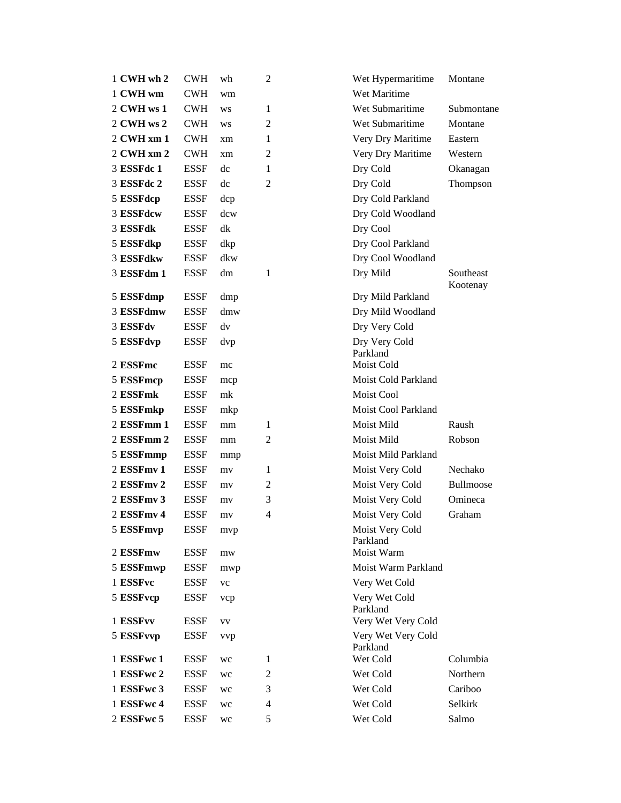| 1 CWH wh 2 | <b>CWH</b>  | wh  | 2              | Wet Hypermaritime              | Montane               |
|------------|-------------|-----|----------------|--------------------------------|-----------------------|
| 1 CWH wm   | <b>CWH</b>  | wm  |                | Wet Maritime                   |                       |
| 2 CWH ws 1 | <b>CWH</b>  | WS  | 1              | Wet Submaritime                | Submontane            |
| 2 CWH ws 2 | <b>CWH</b>  | WS  | 2              | Wet Submaritime                | Montane               |
| 2 CWH xm 1 | <b>CWH</b>  | xm  | 1              | Very Dry Maritime              | Eastern               |
| 2 CWH xm 2 | <b>CWH</b>  | xm  | $\overline{c}$ | Very Dry Maritime              | Western               |
| 3 ESSFdc 1 | <b>ESSF</b> | dc  | 1              | Dry Cold                       | Okanagan              |
| 3 ESSFdc 2 | <b>ESSF</b> | dc  | 2              | Dry Cold                       | Thompson              |
| 5 ESSFdcp  | <b>ESSF</b> | dcp |                | Dry Cold Parkland              |                       |
| 3 ESSFdcw  | <b>ESSF</b> | dcw |                | Dry Cold Woodland              |                       |
| 3 ESSFdk   | <b>ESSF</b> | dk  |                | Dry Cool                       |                       |
| 5 ESSFdkp  | <b>ESSF</b> | dkp |                | Dry Cool Parkland              |                       |
| 3 ESSFdkw  | <b>ESSF</b> | dkw |                | Dry Cool Woodland              |                       |
| 3 ESSFdm 1 | <b>ESSF</b> | dm  | 1              | Dry Mild                       | Southeast<br>Kootenay |
| 5 ESSFdmp  | <b>ESSF</b> | dmp |                | Dry Mild Parkland              |                       |
| 3 ESSFdmw  | <b>ESSF</b> | dmw |                | Dry Mild Woodland              |                       |
| 3 ESSFdv   | <b>ESSF</b> | dv  |                | Dry Very Cold                  |                       |
| 5 ESSFdvp  | <b>ESSF</b> | dvp |                | Dry Very Cold<br>Parkland      |                       |
| 2 ESSFmc   | <b>ESSF</b> | mc  |                | Moist Cold                     |                       |
| 5 ESSFmcp  | <b>ESSF</b> | mcp |                | Moist Cold Parkland            |                       |
| 2 ESSFmk   | <b>ESSF</b> | mk  |                | Moist Cool                     |                       |
| 5 ESSFmkp  | <b>ESSF</b> | mkp |                | Moist Cool Parkland            |                       |
| 2 ESSFmm 1 | <b>ESSF</b> | mm  | 1              | Moist Mild                     | Raush                 |
| 2 ESSFmm 2 | <b>ESSF</b> | mm  | 2              | Moist Mild                     | Robson                |
| 5 ESSFmmp  | <b>ESSF</b> | mmp |                | Moist Mild Parkland            |                       |
| 2 ESSFmy 1 | <b>ESSF</b> | mv  | 1              | Moist Very Cold                | Nechako               |
| 2 ESSFmv 2 | <b>ESSF</b> | mv  | 2              | Moist Very Cold                | Bullmoose             |
| 2 ESSFmv 3 | <b>ESSF</b> | mv  | 3              | Moist Very Cold                | Omineca               |
| 2 ESSFmv 4 | <b>ESSF</b> | mv  | 4              | Moist Very Cold                | Graham                |
| 5 ESSFmvp  | <b>ESSF</b> | mvp |                | Moist Very Cold<br>Parkland    |                       |
| 2 ESSFmw   | <b>ESSF</b> | mw  |                | Moist Warm                     |                       |
| 5 ESSFmwp  | <b>ESSF</b> | mwp |                | Moist Warm Parkland            |                       |
| 1 ESSFvc   | <b>ESSF</b> | vc  |                | Very Wet Cold                  |                       |
| 5 ESSFvcp  | <b>ESSF</b> | vcp |                | Very Wet Cold<br>Parkland      |                       |
| 1 ESSFvv   | <b>ESSF</b> | VV  |                | Very Wet Very Cold             |                       |
| 5 ESSFvvp  | <b>ESSF</b> | vvp |                | Very Wet Very Cold<br>Parkland |                       |
| 1 ESSFwc 1 | <b>ESSF</b> | wc  | 1              | Wet Cold                       | Columbia              |
| 1 ESSFwc 2 | <b>ESSF</b> | wc  | 2              | Wet Cold                       | Northern              |
| 1 ESSFwc 3 | <b>ESSF</b> | wc  | 3              | Wet Cold                       | Cariboo               |
| 1 ESSFwc 4 | <b>ESSF</b> | wc  | 4              | Wet Cold                       | Selkirk               |
| 2 ESSFwc 5 | <b>ESSF</b> | wc  | 5              | Wet Cold                       | Salmo                 |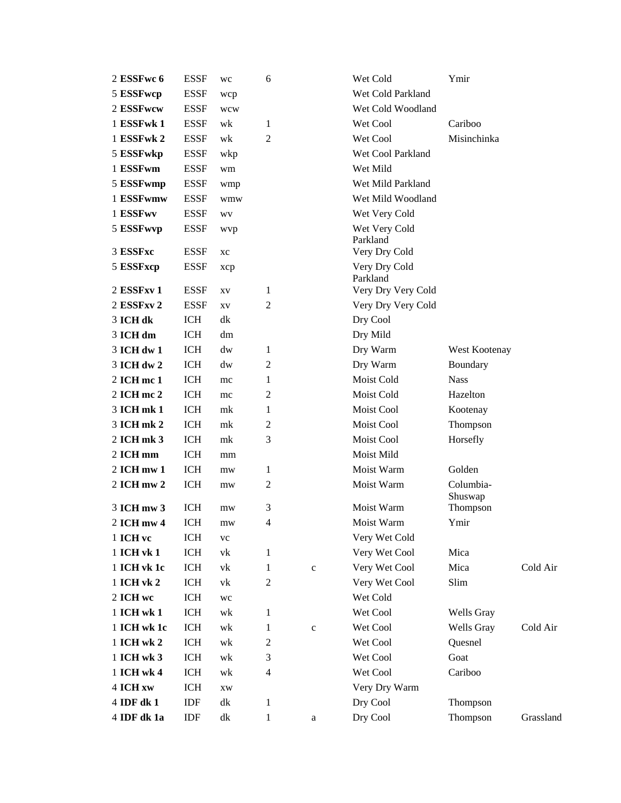| 2 ESSFwc 6               | <b>ESSF</b>              | wc               | 6                       |              | Wet Cold                  | Ymir                 |           |
|--------------------------|--------------------------|------------------|-------------------------|--------------|---------------------------|----------------------|-----------|
| 5 ESSFwcp                | <b>ESSF</b>              | wcp              |                         |              | Wet Cold Parkland         |                      |           |
| 2 ESSFwcw                | <b>ESSF</b>              | wcw              |                         |              | Wet Cold Woodland         |                      |           |
| 1 ESSFwk 1               | <b>ESSF</b>              | wk               | 1                       |              | Wet Cool                  | Cariboo              |           |
| 1 ESSFwk 2               | <b>ESSF</b>              | wk               | $\overline{2}$          |              | Wet Cool                  | Misinchinka          |           |
| 5 ESSFwkp                | <b>ESSF</b>              | wkp              |                         |              | Wet Cool Parkland         |                      |           |
| 1 ESSFwm                 | <b>ESSF</b>              | wm               |                         |              | Wet Mild                  |                      |           |
| 5 ESSFwmp                | <b>ESSF</b>              | wmp              |                         |              | Wet Mild Parkland         |                      |           |
| 1 ESSFwmw                | <b>ESSF</b>              | wmw              |                         |              | Wet Mild Woodland         |                      |           |
| 1 ESSFwv                 | <b>ESSF</b>              | WV               |                         |              | Wet Very Cold             |                      |           |
| 5 ESSFwvp                | <b>ESSF</b>              | wvp              |                         |              | Wet Very Cold<br>Parkland |                      |           |
| 3 ESSFxc                 | <b>ESSF</b>              | хc               |                         |              | Very Dry Cold             |                      |           |
| 5 ESSFxcp                | <b>ESSF</b>              | xcp              |                         |              | Very Dry Cold<br>Parkland |                      |           |
| 2 ESSFxv 1               | <b>ESSF</b>              | XV               | 1                       |              | Very Dry Very Cold        |                      |           |
| 2 ESSFxv 2               | <b>ESSF</b>              | XV               | $\overline{c}$          |              | Very Dry Very Cold        |                      |           |
| 3 ICH dk                 | <b>ICH</b>               | dk               |                         |              | Dry Cool                  |                      |           |
| 3 ICH dm                 | <b>ICH</b>               | dm               |                         |              | Dry Mild                  |                      |           |
| 3 ICH dw 1               | <b>ICH</b>               | dw               | 1                       |              | Dry Warm                  | West Kootenay        |           |
| 3 ICH dw 2               | <b>ICH</b>               | dw               | 2                       |              | Dry Warm                  | Boundary             |           |
| 2 ICH mc 1               | <b>ICH</b>               | mc               | 1                       |              | Moist Cold                | <b>Nass</b>          |           |
| 2 ICH mc 2               | <b>ICH</b>               | mc               | 2                       |              | Moist Cold                | Hazelton             |           |
| 3 ICH mk 1               | <b>ICH</b>               | mk               | 1                       |              | Moist Cool                | Kootenay             |           |
| 3 ICH mk 2               | ICH                      | mk               | 2                       |              | Moist Cool                | Thompson             |           |
| 2 ICH mk 3               | <b>ICH</b>               | mk               | 3                       |              | Moist Cool                | Horsefly             |           |
| 2 ICH mm                 | <b>ICH</b>               | mm               |                         |              | Moist Mild                |                      |           |
| 2 ICH mw 1               | <b>ICH</b>               | mw               | 1                       |              | Moist Warm                | Golden               |           |
| 2 ICH mw 2<br>3 ICH mw 3 | <b>ICH</b><br><b>ICH</b> | mw               | $\overline{c}$<br>3     |              | Moist Warm<br>Moist Warm  | Columbia-<br>Shuswap |           |
|                          |                          | mw               | $\overline{4}$          |              | Moist Warm                | Thompson<br>Ymir     |           |
| 2 ICH mw 4<br>1 ICH vc   | ICH<br>ICH               | mw<br>${\rm VC}$ |                         |              | Very Wet Cold             |                      |           |
| 1 ICH vk 1               | ICH                      | vk               | 1                       |              | Very Wet Cool             | Mica                 |           |
| 1 ICH vk 1c              | ICH                      | vk               | 1                       | $\mathbf c$  | Very Wet Cool             | Mica                 | Cold Air  |
| 1 ICH vk 2               | ICH                      | vk               | $\mathbf{2}$            |              | Very Wet Cool             | Slim                 |           |
| 2 ICH we                 | ICH                      | wc               |                         |              | Wet Cold                  |                      |           |
| 1 ICH wk 1               | ICH                      | wk               | 1                       |              | Wet Cool                  | Wells Gray           |           |
| 1 ICH wk 1c              | ICH                      | wk               | 1                       | $\mathbf{C}$ | Wet Cool                  | Wells Gray           | Cold Air  |
| 1 ICH wk 2               | ICH                      | wk               | $\overline{c}$          |              | Wet Cool                  | Quesnel              |           |
| 1 ICH wk 3               | ICH                      | wk               | 3                       |              | Wet Cool                  | Goat                 |           |
| 1 ICH wk 4               | ICH                      | wk               | $\overline{\mathbf{4}}$ |              | Wet Cool                  | Cariboo              |           |
| 4 ICH xw                 | ICH                      | XW               |                         |              | Very Dry Warm             |                      |           |
| 4 IDF dk 1               | IDF                      | dk               | 1                       |              | Dry Cool                  | Thompson             |           |
| 4 IDF dk 1a              | IDF                      | dk               | $\mathbf{1}$            | a            | Dry Cool                  | Thompson             | Grassland |
|                          |                          |                  |                         |              |                           |                      |           |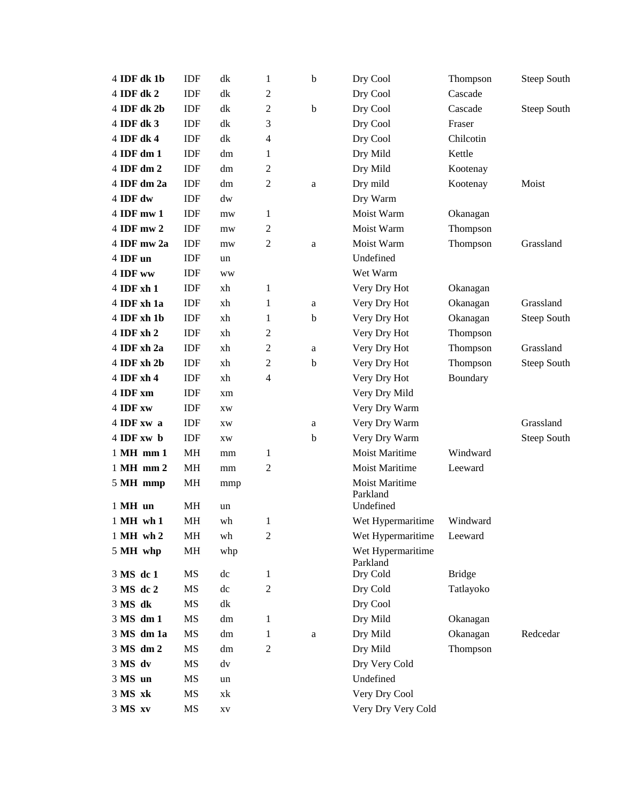| 4 IDF dk 1b         | IDF             | dk                     | 1              | b            | Dry Cool                                       | Thompson      | <b>Steep South</b> |
|---------------------|-----------------|------------------------|----------------|--------------|------------------------------------------------|---------------|--------------------|
| 4 IDF dk 2          | IDF             | dk                     | $\overline{2}$ |              | Dry Cool                                       | Cascade       |                    |
| 4 IDF dk 2b         | IDF             | dk                     | $\overline{2}$ | $\mathbf b$  | Dry Cool                                       | Cascade       | <b>Steep South</b> |
| 4 IDF dk 3          | IDF             | dk                     | 3              |              | Dry Cool                                       | Fraser        |                    |
| 4 IDF dk 4          | <b>IDF</b>      | dk                     | 4              |              | Dry Cool                                       | Chilcotin     |                    |
| 4 IDF dm 1          | IDF             | dm                     | 1              |              | Dry Mild                                       | Kettle        |                    |
| 4 IDF dm 2          | <b>IDF</b>      | dm                     | $\overline{2}$ |              | Dry Mild                                       | Kootenay      |                    |
| 4 IDF dm 2a         | IDF             | dm                     | $\overline{2}$ | $\mathbf{a}$ | Dry mild                                       | Kootenay      | Moist              |
| 4 IDF dw            | <b>IDF</b>      | dw                     |                |              | Dry Warm                                       |               |                    |
| 4 IDF mw 1          | IDF             | mw                     | 1              |              | Moist Warm                                     | Okanagan      |                    |
| 4 IDF mw 2          | IDF             | mw                     | 2              |              | Moist Warm                                     | Thompson      |                    |
| 4 IDF mw 2a         | IDF             | mw                     | $\overline{c}$ | a            | Moist Warm                                     | Thompson      | Grassland          |
| 4 IDF un            | IDF             | un                     |                |              | Undefined                                      |               |                    |
| 4 IDF ww            | IDF             | ww                     |                |              | Wet Warm                                       |               |                    |
| 4 IDF xh 1          | IDF             | xh                     | 1              |              | Very Dry Hot                                   | Okanagan      |                    |
| 4 IDF xh 1a         | <b>IDF</b>      | xh                     | 1              | a            | Very Dry Hot                                   | Okanagan      | Grassland          |
| 4 IDF xh 1b         | IDF             | xh                     | 1              | b            | Very Dry Hot                                   | Okanagan      | <b>Steep South</b> |
| 4 IDF xh 2          | <b>IDF</b>      | xh                     | 2              |              | Very Dry Hot                                   | Thompson      |                    |
| 4 IDF xh 2a         | <b>IDF</b>      | xh                     | 2              | a            | Very Dry Hot                                   | Thompson      | Grassland          |
| 4 IDF xh 2b         | IDF             | xh                     | $\overline{2}$ | $\mathbf b$  | Very Dry Hot                                   | Thompson      | <b>Steep South</b> |
| 4 IDF xh 4          | IDF             | xh                     | 4              |              | Very Dry Hot                                   | Boundary      |                    |
| 4 IDF xm            | IDF             | xm                     |                |              | Very Dry Mild                                  |               |                    |
| 4 IDF xw            | <b>IDF</b>      | <b>XW</b>              |                |              | Very Dry Warm                                  |               |                    |
| 4 IDF xw a          | IDF             | XW                     |                | a            | Very Dry Warm                                  |               | Grassland          |
| 4 IDF xw b          | IDF             | XW                     |                | b            | Very Dry Warm                                  |               | <b>Steep South</b> |
| 1 MH mm 1           | <b>MH</b>       | mm                     | 1              |              | <b>Moist Maritime</b>                          | Windward      |                    |
| 1 MH mm 2           | <b>MH</b>       | mm                     | 2              |              | <b>Moist Maritime</b>                          | Leeward       |                    |
| 5 MH mmp<br>1 MH un | MH<br><b>MH</b> | mmp<br>un              |                |              | <b>Moist Maritime</b><br>Parkland<br>Undefined |               |                    |
| 1 MH wh 1           | MH              | wh                     | 1              |              | Wet Hypermaritime                              | Windward      |                    |
| 1 MH wh 2           | MH              | wh                     | $\mathfrak{2}$ |              | Wet Hypermaritime                              | Leeward       |                    |
| 5 MH whp            | MH              | whp                    |                |              | Wet Hypermaritime<br>Parkland                  |               |                    |
| 3 MS dc 1           | MS              | dc                     | 1              |              | Dry Cold                                       | <b>Bridge</b> |                    |
| 3 MS dc 2           | MS              | dc                     | 2              |              | Dry Cold                                       | Tatlayoko     |                    |
| 3 MS dk             | MS              | dk                     |                |              | Dry Cool                                       |               |                    |
| 3 MS dm 1           | MS              | dm                     | 1              |              | Dry Mild                                       | Okanagan      |                    |
| 3 MS dm 1a          | MS              | dm                     | 1              | $\rm{a}$     | Dry Mild                                       | Okanagan      | Redcedar           |
| 3 MS dm 2           | MS              | dm                     | 2              |              | Dry Mild                                       | Thompson      |                    |
| 3 MS dv             | MS              | dv                     |                |              | Dry Very Cold                                  |               |                    |
| 3 MS un             | MS              | un                     |                |              | Undefined                                      |               |                    |
| 3 MS xk             | MS              | xk                     |                |              | Very Dry Cool                                  |               |                    |
| 3 MS xv             | MS              | $\mathbf{X}\mathbf{V}$ |                |              | Very Dry Very Cold                             |               |                    |